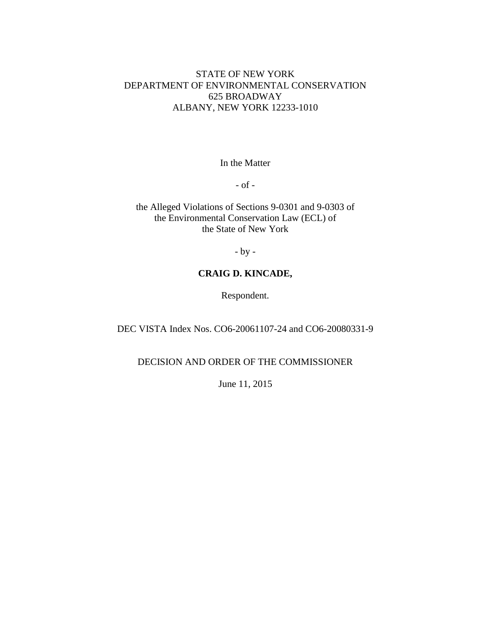# STATE OF NEW YORK DEPARTMENT OF ENVIRONMENTAL CONSERVATION 625 BROADWAY ALBANY, NEW YORK 12233-1010

In the Matter

- of -

the Alleged Violations of Sections 9-0301 and 9-0303 of the Environmental Conservation Law (ECL) of the State of New York

- by -

# **CRAIG D. KINCADE,**

Respondent.

DEC VISTA Index Nos. CO6-20061107-24 and CO6-20080331-9

DECISION AND ORDER OF THE COMMISSIONER

June 11, 2015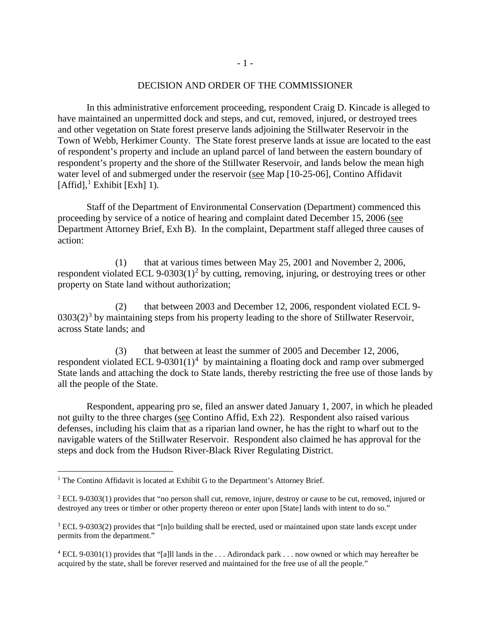#### DECISION AND ORDER OF THE COMMISSIONER

In this administrative enforcement proceeding, respondent Craig D. Kincade is alleged to have maintained an unpermitted dock and steps, and cut, removed, injured, or destroyed trees and other vegetation on State forest preserve lands adjoining the Stillwater Reservoir in the Town of Webb, Herkimer County. The State forest preserve lands at issue are located to the east of respondent's property and include an upland parcel of land between the eastern boundary of respondent's property and the shore of the Stillwater Reservoir, and lands below the mean high water level of and submerged under the reservoir (see Map [10-25-06], Contino Affidavit  $[Affid]<sup>1</sup>$  $[Affid]<sup>1</sup>$  $[Affid]<sup>1</sup>$  Exhibit  $[Exh]$  1).

Staff of the Department of Environmental Conservation (Department) commenced this proceeding by service of a notice of hearing and complaint dated December 15, 2006 (see Department Attorney Brief, Exh B). In the complaint, Department staff alleged three causes of action:

(1) that at various times between May 25, 2001 and November 2, 2006, respondent violated ECL 9-0303(1)<sup>[2](#page-1-1)</sup> by cutting, removing, injuring, or destroying trees or other property on State land without authorization;

(2) that between 2003 and December 12, 2006, respondent violated ECL 9-  $0303(2)^3$  $0303(2)^3$  $0303(2)^3$  by maintaining steps from his property leading to the shore of Stillwater Reservoir, across State lands; and

(3) that between at least the summer of 2005 and December 12, 2006, respondent violated ECL 9-0301 $(1)^4$  $(1)^4$  by maintaining a floating dock and ramp over submerged State lands and attaching the dock to State lands, thereby restricting the free use of those lands by all the people of the State.

Respondent, appearing pro se, filed an answer dated January 1, 2007, in which he pleaded not guilty to the three charges (see Contino Affid, Exh 22). Respondent also raised various defenses, including his claim that as a riparian land owner, he has the right to wharf out to the navigable waters of the Stillwater Reservoir. Respondent also claimed he has approval for the steps and dock from the Hudson River-Black River Regulating District.

<span id="page-1-0"></span><sup>&</sup>lt;sup>1</sup> The Contino Affidavit is located at Exhibit G to the Department's Attorney Brief.

<span id="page-1-1"></span><sup>&</sup>lt;sup>2</sup> ECL 9-0303(1) provides that "no person shall cut, remove, injure, destroy or cause to be cut, removed, injured or destroyed any trees or timber or other property thereon or enter upon [State] lands with intent to do so."

<span id="page-1-2"></span><sup>3</sup> ECL 9-0303(2) provides that "[n]o building shall be erected, used or maintained upon state lands except under permits from the department."

<span id="page-1-3"></span><sup>4</sup> ECL 9-0301(1) provides that "[a]ll lands in the . . . Adirondack park . . . now owned or which may hereafter be acquired by the state, shall be forever reserved and maintained for the free use of all the people."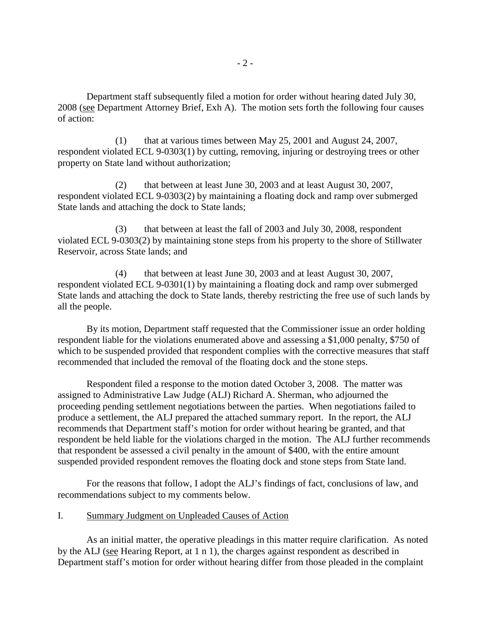Department staff subsequently filed a motion for order without hearing dated July 30, 2008 (see Department Attorney Brief, Exh A). The motion sets forth the following four causes of action:

(1) that at various times between May 25, 2001 and August 24, 2007, respondent violated ECL 9-0303(1) by cutting, removing, injuring or destroying trees or other property on State land without authorization;

(2) that between at least June 30, 2003 and at least August 30, 2007, respondent violated ECL 9-0303(2) by maintaining a floating dock and ramp over submerged State lands and attaching the dock to State lands;

(3) that between at least the fall of 2003 and July 30, 2008, respondent violated ECL 9-0303(2) by maintaining stone steps from his property to the shore of Stillwater Reservoir, across State lands; and

(4) that between at least June 30, 2003 and at least August 30, 2007, respondent violated ECL 9-0301(1) by maintaining a floating dock and ramp over submerged State lands and attaching the dock to State lands, thereby restricting the free use of such lands by all the people.

By its motion, Department staff requested that the Commissioner issue an order holding respondent liable for the violations enumerated above and assessing a \$1,000 penalty, \$750 of which to be suspended provided that respondent complies with the corrective measures that staff recommended that included the removal of the floating dock and the stone steps.

Respondent filed a response to the motion dated October 3, 2008. The matter was assigned to Administrative Law Judge (ALJ) Richard A. Sherman, who adjourned the proceeding pending settlement negotiations between the parties. When negotiations failed to produce a settlement, the ALJ prepared the attached summary report. In the report, the ALJ recommends that Department staff's motion for order without hearing be granted, and that respondent be held liable for the violations charged in the motion. The ALJ further recommends that respondent be assessed a civil penalty in the amount of \$400, with the entire amount suspended provided respondent removes the floating dock and stone steps from State land.

For the reasons that follow, I adopt the ALJ's findings of fact, conclusions of law, and recommendations subject to my comments below.

## I. Summary Judgment on Unpleaded Causes of Action

As an initial matter, the operative pleadings in this matter require clarification. As noted by the ALJ (see Hearing Report, at 1 n 1), the charges against respondent as described in Department staff's motion for order without hearing differ from those pleaded in the complaint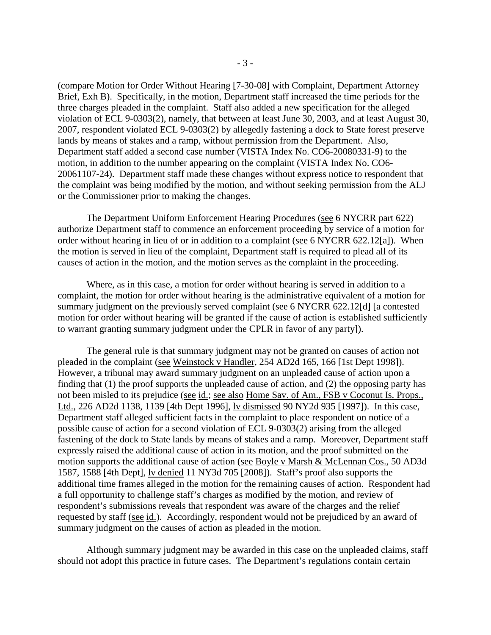(compare Motion for Order Without Hearing [7-30-08] with Complaint, Department Attorney Brief, Exh B). Specifically, in the motion, Department staff increased the time periods for the three charges pleaded in the complaint. Staff also added a new specification for the alleged violation of ECL 9-0303(2), namely, that between at least June 30, 2003, and at least August 30, 2007, respondent violated ECL 9-0303(2) by allegedly fastening a dock to State forest preserve lands by means of stakes and a ramp, without permission from the Department. Also, Department staff added a second case number (VISTA Index No. CO6-20080331-9) to the motion, in addition to the number appearing on the complaint (VISTA Index No. CO6- 20061107-24). Department staff made these changes without express notice to respondent that the complaint was being modified by the motion, and without seeking permission from the ALJ or the Commissioner prior to making the changes.

The Department Uniform Enforcement Hearing Procedures (see 6 NYCRR part 622) authorize Department staff to commence an enforcement proceeding by service of a motion for order without hearing in lieu of or in addition to a complaint (see 6 NYCRR 622.12[a]). When the motion is served in lieu of the complaint, Department staff is required to plead all of its causes of action in the motion, and the motion serves as the complaint in the proceeding.

Where, as in this case, a motion for order without hearing is served in addition to a complaint, the motion for order without hearing is the administrative equivalent of a motion for summary judgment on the previously served complaint (see 6 NYCRR 622.12[d] [a contested motion for order without hearing will be granted if the cause of action is established sufficiently to warrant granting summary judgment under the CPLR in favor of any party]).

The general rule is that summary judgment may not be granted on causes of action not pleaded in the complaint (see Weinstock v Handler, 254 AD2d 165, 166 [1st Dept 1998]). However, a tribunal may award summary judgment on an unpleaded cause of action upon a finding that (1) the proof supports the unpleaded cause of action, and (2) the opposing party has not been misled to its prejudice (see id.; see also Home Sav. of Am., FSB v Coconut Is. Props., Ltd., 226 AD2d 1138, 1139 [4th Dept 1996], lv dismissed 90 NY2d 935 [1997]). In this case, Department staff alleged sufficient facts in the complaint to place respondent on notice of a possible cause of action for a second violation of ECL 9-0303(2) arising from the alleged fastening of the dock to State lands by means of stakes and a ramp. Moreover, Department staff expressly raised the additional cause of action in its motion, and the proof submitted on the motion supports the additional cause of action (see Boyle v Marsh & McLennan Cos., 50 AD3d 1587, 1588 [4th Dept], lv denied 11 NY3d 705 [2008]). Staff's proof also supports the additional time frames alleged in the motion for the remaining causes of action. Respondent had a full opportunity to challenge staff's charges as modified by the motion, and review of respondent's submissions reveals that respondent was aware of the charges and the relief requested by staff (see id.). Accordingly, respondent would not be prejudiced by an award of summary judgment on the causes of action as pleaded in the motion.

Although summary judgment may be awarded in this case on the unpleaded claims, staff should not adopt this practice in future cases. The Department's regulations contain certain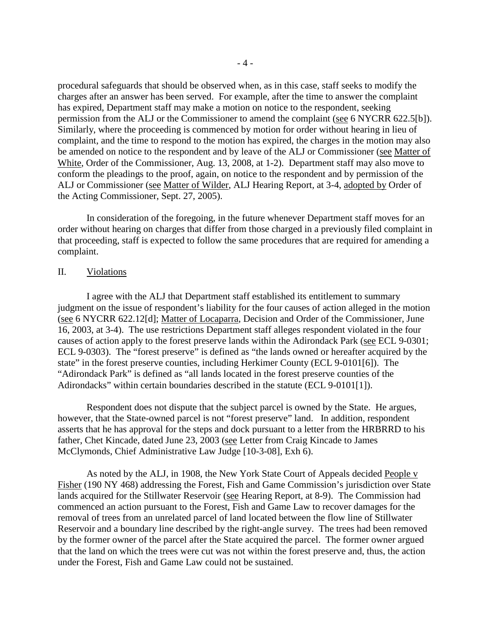procedural safeguards that should be observed when, as in this case, staff seeks to modify the charges after an answer has been served. For example, after the time to answer the complaint has expired, Department staff may make a motion on notice to the respondent, seeking permission from the ALJ or the Commissioner to amend the complaint (see 6 NYCRR 622.5[b]). Similarly, where the proceeding is commenced by motion for order without hearing in lieu of complaint, and the time to respond to the motion has expired, the charges in the motion may also be amended on notice to the respondent and by leave of the ALJ or Commissioner (see Matter of White, Order of the Commissioner, Aug. 13, 2008, at 1-2). Department staff may also move to conform the pleadings to the proof, again, on notice to the respondent and by permission of the ALJ or Commissioner (see Matter of Wilder, ALJ Hearing Report, at 3-4, adopted by Order of the Acting Commissioner, Sept. 27, 2005).

In consideration of the foregoing, in the future whenever Department staff moves for an order without hearing on charges that differ from those charged in a previously filed complaint in that proceeding, staff is expected to follow the same procedures that are required for amending a complaint.

#### II. Violations

I agree with the ALJ that Department staff established its entitlement to summary judgment on the issue of respondent's liability for the four causes of action alleged in the motion (see 6 NYCRR 622.12[d]; Matter of Locaparra, Decision and Order of the Commissioner, June 16, 2003, at 3-4). The use restrictions Department staff alleges respondent violated in the four causes of action apply to the forest preserve lands within the Adirondack Park (see ECL 9-0301; ECL 9-0303). The "forest preserve" is defined as "the lands owned or hereafter acquired by the state" in the forest preserve counties, including Herkimer County (ECL 9-0101[6]). The "Adirondack Park" is defined as "all lands located in the forest preserve counties of the Adirondacks" within certain boundaries described in the statute (ECL 9-0101[1]).

Respondent does not dispute that the subject parcel is owned by the State. He argues, however, that the State-owned parcel is not "forest preserve" land. In addition, respondent asserts that he has approval for the steps and dock pursuant to a letter from the HRBRRD to his father, Chet Kincade, dated June 23, 2003 (see Letter from Craig Kincade to James McClymonds, Chief Administrative Law Judge [10-3-08], Exh 6).

As noted by the ALJ, in 1908, the New York State Court of Appeals decided People v Fisher (190 NY 468) addressing the Forest, Fish and Game Commission's jurisdiction over State lands acquired for the Stillwater Reservoir (see Hearing Report, at 8-9). The Commission had commenced an action pursuant to the Forest, Fish and Game Law to recover damages for the removal of trees from an unrelated parcel of land located between the flow line of Stillwater Reservoir and a boundary line described by the right-angle survey. The trees had been removed by the former owner of the parcel after the State acquired the parcel. The former owner argued that the land on which the trees were cut was not within the forest preserve and, thus, the action under the Forest, Fish and Game Law could not be sustained.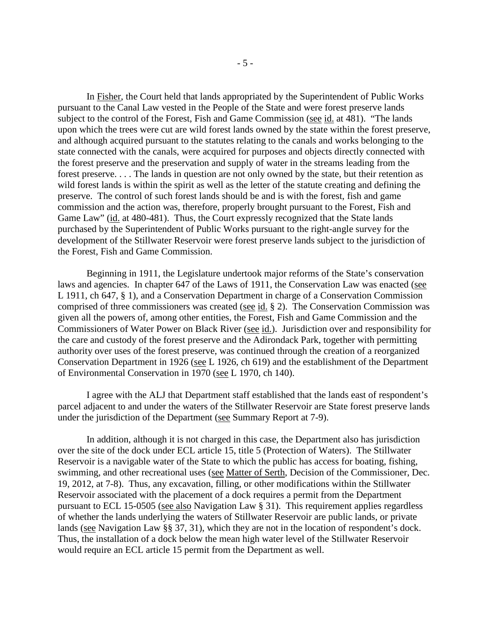In Fisher, the Court held that lands appropriated by the Superintendent of Public Works pursuant to the Canal Law vested in the People of the State and were forest preserve lands subject to the control of the Forest, Fish and Game Commission (see id. at 481). "The lands upon which the trees were cut are wild forest lands owned by the state within the forest preserve, and although acquired pursuant to the statutes relating to the canals and works belonging to the state connected with the canals, were acquired for purposes and objects directly connected with the forest preserve and the preservation and supply of water in the streams leading from the forest preserve. . . . The lands in question are not only owned by the state, but their retention as wild forest lands is within the spirit as well as the letter of the statute creating and defining the preserve. The control of such forest lands should be and is with the forest, fish and game commission and the action was, therefore, properly brought pursuant to the Forest, Fish and Game Law" (id. at 480-481). Thus, the Court expressly recognized that the State lands purchased by the Superintendent of Public Works pursuant to the right-angle survey for the development of the Stillwater Reservoir were forest preserve lands subject to the jurisdiction of the Forest, Fish and Game Commission.

Beginning in 1911, the Legislature undertook major reforms of the State's conservation laws and agencies. In chapter 647 of the Laws of 1911, the Conservation Law was enacted (see L 1911, ch 647, § 1), and a Conservation Department in charge of a Conservation Commission comprised of three commissioners was created (see id. § 2). The Conservation Commission was given all the powers of, among other entities, the Forest, Fish and Game Commission and the Commissioners of Water Power on Black River (see id.). Jurisdiction over and responsibility for the care and custody of the forest preserve and the Adirondack Park, together with permitting authority over uses of the forest preserve, was continued through the creation of a reorganized Conservation Department in 1926 (see L 1926, ch 619) and the establishment of the Department of Environmental Conservation in 1970 (see L 1970, ch 140).

I agree with the ALJ that Department staff established that the lands east of respondent's parcel adjacent to and under the waters of the Stillwater Reservoir are State forest preserve lands under the jurisdiction of the Department (see Summary Report at 7-9).

In addition, although it is not charged in this case, the Department also has jurisdiction over the site of the dock under ECL article 15, title 5 (Protection of Waters). The Stillwater Reservoir is a navigable water of the State to which the public has access for boating, fishing, swimming, and other recreational uses (see Matter of Serth, Decision of the Commissioner, Dec. 19, 2012, at 7-8). Thus, any excavation, filling, or other modifications within the Stillwater Reservoir associated with the placement of a dock requires a permit from the Department pursuant to ECL 15-0505 (see also Navigation Law § 31). This requirement applies regardless of whether the lands underlying the waters of Stillwater Reservoir are public lands, or private lands (see Navigation Law §§ 37, 31), which they are not in the location of respondent's dock. Thus, the installation of a dock below the mean high water level of the Stillwater Reservoir would require an ECL article 15 permit from the Department as well.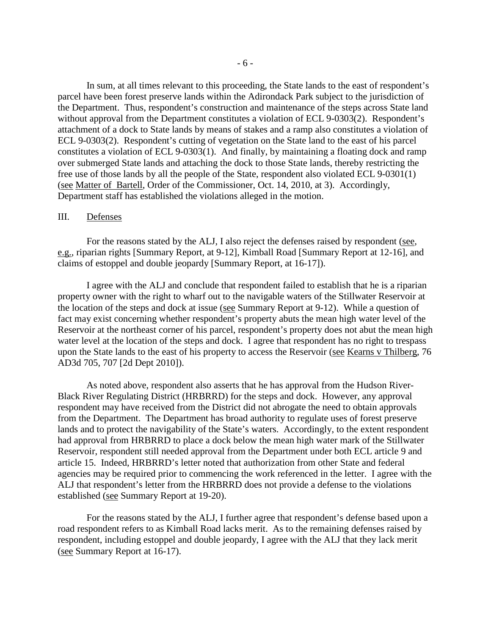In sum, at all times relevant to this proceeding, the State lands to the east of respondent's parcel have been forest preserve lands within the Adirondack Park subject to the jurisdiction of the Department. Thus, respondent's construction and maintenance of the steps across State land without approval from the Department constitutes a violation of ECL 9-0303(2). Respondent's attachment of a dock to State lands by means of stakes and a ramp also constitutes a violation of ECL 9-0303(2). Respondent's cutting of vegetation on the State land to the east of his parcel constitutes a violation of ECL 9-0303(1). And finally, by maintaining a floating dock and ramp over submerged State lands and attaching the dock to those State lands, thereby restricting the free use of those lands by all the people of the State, respondent also violated ECL 9-0301(1) (see Matter of Bartell, Order of the Commissioner, Oct. 14, 2010, at 3). Accordingly, Department staff has established the violations alleged in the motion.

## III. Defenses

For the reasons stated by the ALJ, I also reject the defenses raised by respondent (see, e.g., riparian rights [Summary Report, at 9-12], Kimball Road [Summary Report at 12-16], and claims of estoppel and double jeopardy [Summary Report, at 16-17]).

I agree with the ALJ and conclude that respondent failed to establish that he is a riparian property owner with the right to wharf out to the navigable waters of the Stillwater Reservoir at the location of the steps and dock at issue (see Summary Report at 9-12). While a question of fact may exist concerning whether respondent's property abuts the mean high water level of the Reservoir at the northeast corner of his parcel, respondent's property does not abut the mean high water level at the location of the steps and dock. I agree that respondent has no right to trespass upon the State lands to the east of his property to access the Reservoir (see Kearns v Thilberg, 76 AD3d 705, 707 [2d Dept 2010]).

As noted above, respondent also asserts that he has approval from the Hudson River-Black River Regulating District (HRBRRD) for the steps and dock. However, any approval respondent may have received from the District did not abrogate the need to obtain approvals from the Department. The Department has broad authority to regulate uses of forest preserve lands and to protect the navigability of the State's waters. Accordingly, to the extent respondent had approval from HRBRRD to place a dock below the mean high water mark of the Stillwater Reservoir, respondent still needed approval from the Department under both ECL article 9 and article 15. Indeed, HRBRRD's letter noted that authorization from other State and federal agencies may be required prior to commencing the work referenced in the letter. I agree with the ALJ that respondent's letter from the HRBRRD does not provide a defense to the violations established (see Summary Report at 19-20).

For the reasons stated by the ALJ, I further agree that respondent's defense based upon a road respondent refers to as Kimball Road lacks merit. As to the remaining defenses raised by respondent, including estoppel and double jeopardy, I agree with the ALJ that they lack merit (see Summary Report at 16-17).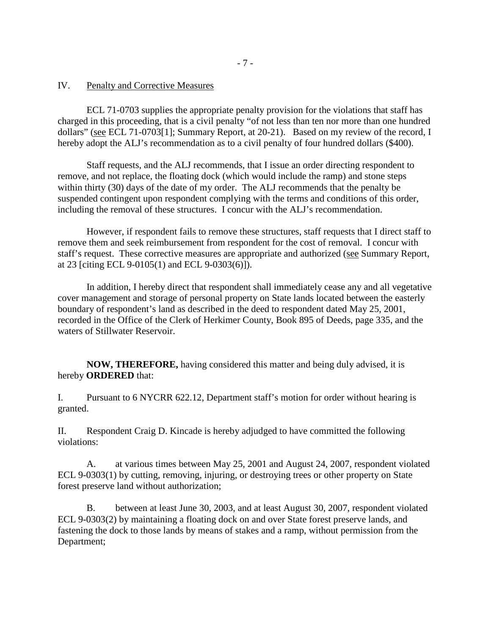## IV. Penalty and Corrective Measures

ECL 71-0703 supplies the appropriate penalty provision for the violations that staff has charged in this proceeding, that is a civil penalty "of not less than ten nor more than one hundred dollars" (see ECL 71-0703[1]; Summary Report, at 20-21). Based on my review of the record, I hereby adopt the ALJ's recommendation as to a civil penalty of four hundred dollars (\$400).

Staff requests, and the ALJ recommends, that I issue an order directing respondent to remove, and not replace, the floating dock (which would include the ramp) and stone steps within thirty (30) days of the date of my order. The ALJ recommends that the penalty be suspended contingent upon respondent complying with the terms and conditions of this order, including the removal of these structures. I concur with the ALJ's recommendation.

However, if respondent fails to remove these structures, staff requests that I direct staff to remove them and seek reimbursement from respondent for the cost of removal. I concur with staff's request. These corrective measures are appropriate and authorized (see Summary Report, at 23 [citing ECL 9-0105(1) and ECL 9-0303(6)]).

In addition, I hereby direct that respondent shall immediately cease any and all vegetative cover management and storage of personal property on State lands located between the easterly boundary of respondent's land as described in the deed to respondent dated May 25, 2001, recorded in the Office of the Clerk of Herkimer County, Book 895 of Deeds, page 335, and the waters of Stillwater Reservoir.

**NOW, THEREFORE,** having considered this matter and being duly advised, it is hereby **ORDERED** that:

I. Pursuant to 6 NYCRR 622.12, Department staff's motion for order without hearing is granted.

II. Respondent Craig D. Kincade is hereby adjudged to have committed the following violations:

A. at various times between May 25, 2001 and August 24, 2007, respondent violated ECL 9-0303(1) by cutting, removing, injuring, or destroying trees or other property on State forest preserve land without authorization;

B. between at least June 30, 2003, and at least August 30, 2007, respondent violated ECL 9-0303(2) by maintaining a floating dock on and over State forest preserve lands, and fastening the dock to those lands by means of stakes and a ramp, without permission from the Department;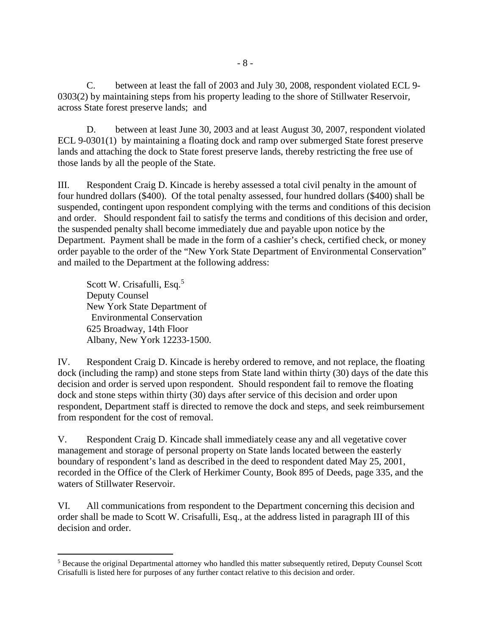C. between at least the fall of 2003 and July 30, 2008, respondent violated ECL 9- 0303(2) by maintaining steps from his property leading to the shore of Stillwater Reservoir, across State forest preserve lands; and

D. between at least June 30, 2003 and at least August 30, 2007, respondent violated ECL 9-0301(1) by maintaining a floating dock and ramp over submerged State forest preserve lands and attaching the dock to State forest preserve lands, thereby restricting the free use of those lands by all the people of the State.

III. Respondent Craig D. Kincade is hereby assessed a total civil penalty in the amount of four hundred dollars (\$400). Of the total penalty assessed, four hundred dollars (\$400) shall be suspended, contingent upon respondent complying with the terms and conditions of this decision and order. Should respondent fail to satisfy the terms and conditions of this decision and order, the suspended penalty shall become immediately due and payable upon notice by the Department. Payment shall be made in the form of a cashier's check, certified check, or money order payable to the order of the "New York State Department of Environmental Conservation" and mailed to the Department at the following address:

Scott W. Crisafulli, Esq.<sup>[5](#page-8-0)</sup> Deputy Counsel New York State Department of Environmental Conservation 625 Broadway, 14th Floor Albany, New York 12233-1500.

 $\overline{a}$ 

IV. Respondent Craig D. Kincade is hereby ordered to remove, and not replace, the floating dock (including the ramp) and stone steps from State land within thirty (30) days of the date this decision and order is served upon respondent. Should respondent fail to remove the floating dock and stone steps within thirty (30) days after service of this decision and order upon respondent, Department staff is directed to remove the dock and steps, and seek reimbursement from respondent for the cost of removal.

V. Respondent Craig D. Kincade shall immediately cease any and all vegetative cover management and storage of personal property on State lands located between the easterly boundary of respondent's land as described in the deed to respondent dated May 25, 2001, recorded in the Office of the Clerk of Herkimer County, Book 895 of Deeds, page 335, and the waters of Stillwater Reservoir.

VI. All communications from respondent to the Department concerning this decision and order shall be made to Scott W. Crisafulli, Esq., at the address listed in paragraph III of this decision and order.

<span id="page-8-0"></span><sup>5</sup> Because the original Departmental attorney who handled this matter subsequently retired, Deputy Counsel Scott Crisafulli is listed here for purposes of any further contact relative to this decision and order.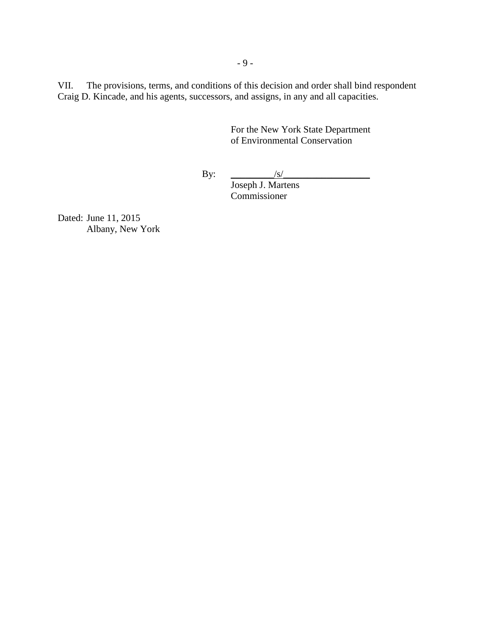VII. The provisions, terms, and conditions of this decision and order shall bind respondent Craig D. Kincade, and his agents, successors, and assigns, in any and all capacities.

> For the New York State Department of Environmental Conservation

By:  $\frac{|S|}{|S|}$ 

Joseph J. Martens Commissioner

Dated: June 11, 2015 Albany, New York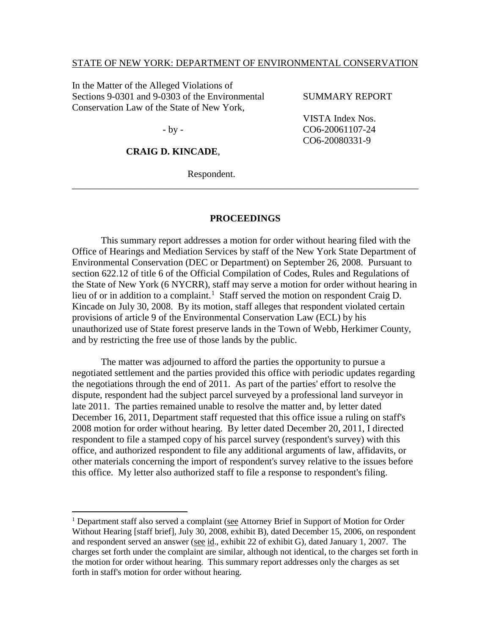### STATE OF NEW YORK: DEPARTMENT OF ENVIRONMENTAL CONSERVATION

In the Matter of the Alleged Violations of Sections 9-0301 and 9-0303 of the Environmental Conservation Law of the State of New York,

#### SUMMARY REPORT

VISTA Index Nos. CO6-20061107-24 CO6-20080331-9

- by -

 $\overline{a}$ 

# **CRAIG D. KINCADE**,

Respondent.

#### **PROCEEDINGS**

\_\_\_\_\_\_\_\_\_\_\_\_\_\_\_\_\_\_\_\_\_\_\_\_\_\_\_\_\_\_\_\_\_\_\_\_\_\_\_\_\_\_\_\_\_\_\_\_\_\_\_\_\_\_\_\_\_\_\_\_\_\_\_\_\_\_\_\_\_\_\_\_

This summary report addresses a motion for order without hearing filed with the Office of Hearings and Mediation Services by staff of the New York State Department of Environmental Conservation (DEC or Department) on September 26, 2008. Pursuant to section 622.12 of title 6 of the Official Compilation of Codes, Rules and Regulations of the State of New York (6 NYCRR), staff may serve a motion for order without hearing in lieu of or in addition to a complaint.<sup>[1](#page-10-0)</sup> Staff served the motion on respondent Craig D. Kincade on July 30, 2008. By its motion, staff alleges that respondent violated certain provisions of article 9 of the Environmental Conservation Law (ECL) by his unauthorized use of State forest preserve lands in the Town of Webb, Herkimer County, and by restricting the free use of those lands by the public.

The matter was adjourned to afford the parties the opportunity to pursue a negotiated settlement and the parties provided this office with periodic updates regarding the negotiations through the end of 2011. As part of the parties' effort to resolve the dispute, respondent had the subject parcel surveyed by a professional land surveyor in late 2011. The parties remained unable to resolve the matter and, by letter dated December 16, 2011, Department staff requested that this office issue a ruling on staff's 2008 motion for order without hearing. By letter dated December 20, 2011, I directed respondent to file a stamped copy of his parcel survey (respondent's survey) with this office, and authorized respondent to file any additional arguments of law, affidavits, or other materials concerning the import of respondent's survey relative to the issues before this office. My letter also authorized staff to file a response to respondent's filing.

<span id="page-10-0"></span><sup>&</sup>lt;sup>1</sup> Department staff also served a complaint (see Attorney Brief in Support of Motion for Order Without Hearing [staff brief], July 30, 2008, exhibit B), dated December 15, 2006, on respondent and respondent served an answer (see id., exhibit 22 of exhibit G), dated January 1, 2007. The charges set forth under the complaint are similar, although not identical, to the charges set forth in the motion for order without hearing. This summary report addresses only the charges as set forth in staff's motion for order without hearing.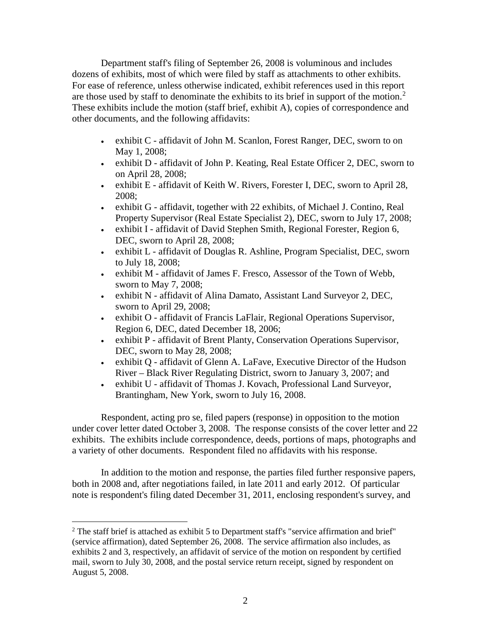Department staff's filing of September 26, 2008 is voluminous and includes dozens of exhibits, most of which were filed by staff as attachments to other exhibits. For ease of reference, unless otherwise indicated, exhibit references used in this report are those used by staff to denominate the exhibits to its brief in support of the motion.<sup>[2](#page-11-0)</sup> These exhibits include the motion (staff brief, exhibit A), copies of correspondence and other documents, and the following affidavits:

- exhibit C affidavit of John M. Scanlon, Forest Ranger, DEC, sworn to on May 1, 2008;
- exhibit D affidavit of John P. Keating, Real Estate Officer 2, DEC, sworn to on April 28, 2008;
- exhibit E affidavit of Keith W. Rivers, Forester I, DEC, sworn to April 28, 2008;
- exhibit G affidavit, together with 22 exhibits, of Michael J. Contino, Real Property Supervisor (Real Estate Specialist 2), DEC, sworn to July 17, 2008;
- exhibit I affidavit of David Stephen Smith, Regional Forester, Region 6, DEC, sworn to April 28, 2008;
- exhibit L affidavit of Douglas R. Ashline, Program Specialist, DEC, sworn to July 18, 2008;
- exhibit M affidavit of James F. Fresco, Assessor of the Town of Webb, sworn to May 7, 2008;
- exhibit N affidavit of Alina Damato, Assistant Land Surveyor 2, DEC, sworn to April 29, 2008;
- exhibit O affidavit of Francis LaFlair, Regional Operations Supervisor, Region 6, DEC, dated December 18, 2006;
- exhibit P affidavit of Brent Planty, Conservation Operations Supervisor, DEC, sworn to May 28, 2008;
- exhibit Q affidavit of Glenn A. LaFave, Executive Director of the Hudson River – Black River Regulating District, sworn to January 3, 2007; and
- exhibit U affidavit of Thomas J. Kovach, Professional Land Surveyor, Brantingham, New York, sworn to July 16, 2008.

Respondent, acting pro se, filed papers (response) in opposition to the motion under cover letter dated October 3, 2008. The response consists of the cover letter and 22 exhibits. The exhibits include correspondence, deeds, portions of maps, photographs and a variety of other documents. Respondent filed no affidavits with his response.

In addition to the motion and response, the parties filed further responsive papers, both in 2008 and, after negotiations failed, in late 2011 and early 2012. Of particular note is respondent's filing dated December 31, 2011, enclosing respondent's survey, and

<span id="page-11-0"></span><sup>&</sup>lt;sup>2</sup> The staff brief is attached as exhibit 5 to Department staff's "service affirmation and brief" (service affirmation), dated September 26, 2008. The service affirmation also includes, as exhibits 2 and 3, respectively, an affidavit of service of the motion on respondent by certified mail, sworn to July 30, 2008, and the postal service return receipt, signed by respondent on August 5, 2008.  $\overline{a}$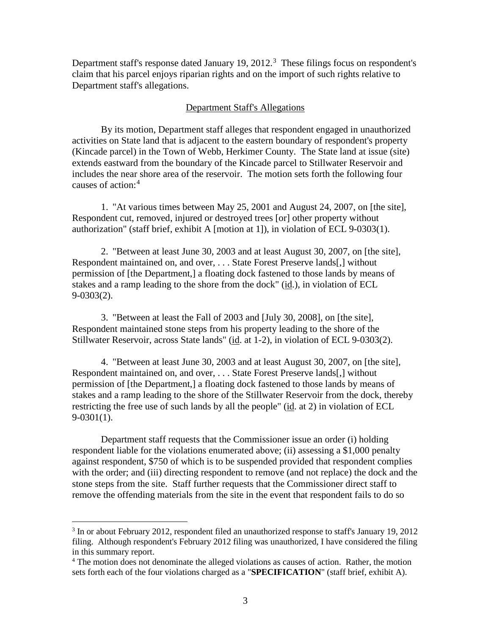Department staff's response dated January 19, 2012.<sup>[3](#page-12-0)</sup> These filings focus on respondent's claim that his parcel enjoys riparian rights and on the import of such rights relative to Department staff's allegations.

### Department Staff's Allegations

By its motion, Department staff alleges that respondent engaged in unauthorized activities on State land that is adjacent to the eastern boundary of respondent's property (Kincade parcel) in the Town of Webb, Herkimer County. The State land at issue (site) extends eastward from the boundary of the Kincade parcel to Stillwater Reservoir and includes the near shore area of the reservoir. The motion sets forth the following four causes of action:[4](#page-12-1)

1. "At various times between May 25, 2001 and August 24, 2007, on [the site], Respondent cut, removed, injured or destroyed trees [or] other property without authorization" (staff brief, exhibit A [motion at 1]), in violation of ECL 9-0303(1).

2. "Between at least June 30, 2003 and at least August 30, 2007, on [the site], Respondent maintained on, and over, . . . State Forest Preserve lands[,] without permission of [the Department,] a floating dock fastened to those lands by means of stakes and a ramp leading to the shore from the dock" (id.), in violation of ECL 9-0303(2).

3. "Between at least the Fall of 2003 and [July 30, 2008], on [the site], Respondent maintained stone steps from his property leading to the shore of the Stillwater Reservoir, across State lands" (id. at 1-2), in violation of ECL 9-0303(2).

4. "Between at least June 30, 2003 and at least August 30, 2007, on [the site], Respondent maintained on, and over, . . . State Forest Preserve lands[,] without permission of [the Department,] a floating dock fastened to those lands by means of stakes and a ramp leading to the shore of the Stillwater Reservoir from the dock, thereby restricting the free use of such lands by all the people" (id. at 2) in violation of ECL 9-0301(1).

Department staff requests that the Commissioner issue an order (i) holding respondent liable for the violations enumerated above; (ii) assessing a \$1,000 penalty against respondent, \$750 of which is to be suspended provided that respondent complies with the order; and (iii) directing respondent to remove (and not replace) the dock and the stone steps from the site. Staff further requests that the Commissioner direct staff to remove the offending materials from the site in the event that respondent fails to do so

<span id="page-12-0"></span><sup>&</sup>lt;sup>3</sup> In or about February 2012, respondent filed an unauthorized response to staff's January 19, 2012 filing. Although respondent's February 2012 filing was unauthorized, I have considered the filing in this summary report.

<span id="page-12-1"></span><sup>&</sup>lt;sup>4</sup> The motion does not denominate the alleged violations as causes of action. Rather, the motion sets forth each of the four violations charged as a "**SPECIFICATION**" (staff brief, exhibit A).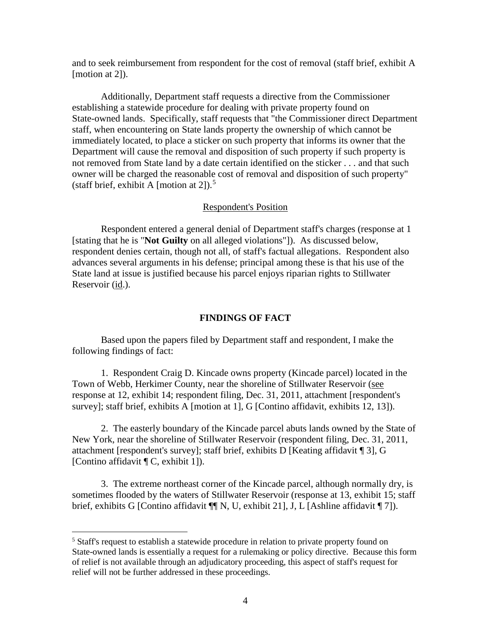and to seek reimbursement from respondent for the cost of removal (staff brief, exhibit A [motion at 2]).

Additionally, Department staff requests a directive from the Commissioner establishing a statewide procedure for dealing with private property found on State-owned lands. Specifically, staff requests that "the Commissioner direct Department staff, when encountering on State lands property the ownership of which cannot be immediately located, to place a sticker on such property that informs its owner that the Department will cause the removal and disposition of such property if such property is not removed from State land by a date certain identified on the sticker . . . and that such owner will be charged the reasonable cost of removal and disposition of such property" (staff brief, exhibit A [motion at 2]).<sup>[5](#page-13-0)</sup>

### Respondent's Position

Respondent entered a general denial of Department staff's charges (response at 1 [stating that he is "**Not Guilty** on all alleged violations"]). As discussed below, respondent denies certain, though not all, of staff's factual allegations. Respondent also advances several arguments in his defense; principal among these is that his use of the State land at issue is justified because his parcel enjoys riparian rights to Stillwater Reservoir (id.).

#### **FINDINGS OF FACT**

Based upon the papers filed by Department staff and respondent, I make the following findings of fact:

1. Respondent Craig D. Kincade owns property (Kincade parcel) located in the Town of Webb, Herkimer County, near the shoreline of Stillwater Reservoir (see response at 12, exhibit 14; respondent filing, Dec. 31, 2011, attachment [respondent's survey]; staff brief, exhibits A [motion at 1], G [Contino affidavit, exhibits 12, 13]).

2. The easterly boundary of the Kincade parcel abuts lands owned by the State of New York, near the shoreline of Stillwater Reservoir (respondent filing, Dec. 31, 2011, attachment [respondent's survey]; staff brief, exhibits D [Keating affidavit ¶ 3], G [Contino affidavit ¶ C, exhibit 1]).

3. The extreme northeast corner of the Kincade parcel, although normally dry, is sometimes flooded by the waters of Stillwater Reservoir (response at 13, exhibit 15; staff brief, exhibits G [Contino affidavit ¶| N, U, exhibit 21], J, L [Ashline affidavit [7]).

<span id="page-13-0"></span><sup>&</sup>lt;sup>5</sup> Staff's request to establish a statewide procedure in relation to private property found on State-owned lands is essentially a request for a rulemaking or policy directive. Because this form of relief is not available through an adjudicatory proceeding, this aspect of staff's request for relief will not be further addressed in these proceedings.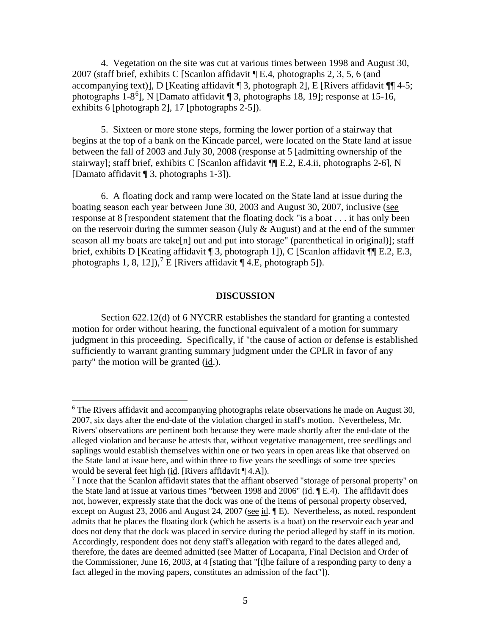4. Vegetation on the site was cut at various times between 1998 and August 30, 2007 (staff brief, exhibits C [Scanlon affidavit ¶ E.4, photographs 2, 3, 5, 6 (and accompanying text)], D [Keating affidavit  $\P$  3, photograph 2], E [Rivers affidavit  $\P$  4-5; photographs 1-8<sup>[6](#page-14-0)</sup>], N [Damato affidavit 13, photographs 18, 19]; response at 15-16, exhibits 6 [photograph 2], 17 [photographs 2-5]).

5. Sixteen or more stone steps, forming the lower portion of a stairway that begins at the top of a bank on the Kincade parcel, were located on the State land at issue between the fall of 2003 and July 30, 2008 (response at 5 [admitting ownership of the stairway]; staff brief, exhibits C [Scanlon affidavit ¶¶ E.2, E.4.ii, photographs 2-6], N [Damato affidavit ¶ 3, photographs 1-3]).

6. A floating dock and ramp were located on the State land at issue during the boating season each year between June 30, 2003 and August 30, 2007, inclusive (see response at 8 [respondent statement that the floating dock "is a boat . . . it has only been on the reservoir during the summer season (July  $&$  August) and at the end of the summer season all my boats are take[n] out and put into storage" (parenthetical in original)]; staff brief, exhibits D [Keating affidavit ¶ 3, photograph 1]), C [Scanlon affidavit ¶ E.2, E.3, photographs 1, 8, 12]),<sup>[7](#page-14-1)</sup> E [Rivers affidavit  $\P$  4.E, photograph 5]).

## **DISCUSSION**

Section 622.12(d) of 6 NYCRR establishes the standard for granting a contested motion for order without hearing, the functional equivalent of a motion for summary judgment in this proceeding. Specifically, if "the cause of action or defense is established sufficiently to warrant granting summary judgment under the CPLR in favor of any party" the motion will be granted (id.).

<span id="page-14-0"></span><sup>6</sup> The Rivers affidavit and accompanying photographs relate observations he made on August 30, 2007, six days after the end-date of the violation charged in staff's motion. Nevertheless, Mr. Rivers' observations are pertinent both because they were made shortly after the end-date of the alleged violation and because he attests that, without vegetative management, tree seedlings and saplings would establish themselves within one or two years in open areas like that observed on the State land at issue here, and within three to five years the seedlings of some tree species would be several feet high (id. [Rivers affidavit ¶ 4.A]).

<span id="page-14-1"></span><sup>&</sup>lt;sup>7</sup> I note that the Scanlon affidavit states that the affiant observed "storage of personal property" on the State land at issue at various times "between 1998 and 2006" (id. ¶ E.4). The affidavit does not, however, expressly state that the dock was one of the items of personal property observed, except on August 23, 2006 and August 24, 2007 (see id. [E). Nevertheless, as noted, respondent admits that he places the floating dock (which he asserts is a boat) on the reservoir each year and does not deny that the dock was placed in service during the period alleged by staff in its motion. Accordingly, respondent does not deny staff's allegation with regard to the dates alleged and, therefore, the dates are deemed admitted (see Matter of Locaparra, Final Decision and Order of the Commissioner, June 16, 2003, at 4 [stating that "[t]he failure of a responding party to deny a fact alleged in the moving papers, constitutes an admission of the fact"]).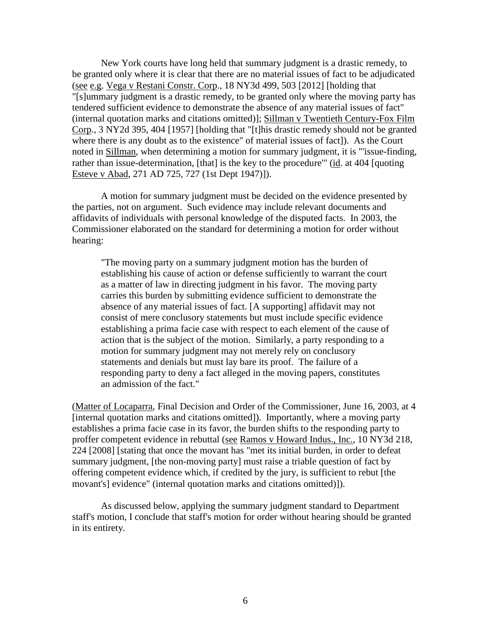New York courts have long held that summary judgment is a drastic remedy, to be granted only where it is clear that there are no material issues of fact to be adjudicated (see e.g. Vega v Restani Constr. Corp., 18 NY3d 499, 503 [2012] [holding that "[s]ummary judgment is a drastic remedy, to be granted only where the moving party has tendered sufficient evidence to demonstrate the absence of any material issues of fact" (internal quotation marks and citations omitted)]; Sillman v Twentieth Century-Fox Film Corp., 3 NY2d 395, 404 [1957] [holding that "[t]his drastic remedy should not be granted where there is any doubt as to the existence" of material issues of fact]). As the Court noted in Sillman, when determining a motion for summary judgment, it is "'issue-finding, rather than issue-determination, [that] is the key to the procedure'" (id. at 404 [quoting Esteve v Abad, 271 AD 725, 727 (1st Dept 1947)]).

A motion for summary judgment must be decided on the evidence presented by the parties, not on argument. Such evidence may include relevant documents and affidavits of individuals with personal knowledge of the disputed facts. In 2003, the Commissioner elaborated on the standard for determining a motion for order without hearing:

"The moving party on a summary judgment motion has the burden of establishing his cause of action or defense sufficiently to warrant the court as a matter of law in directing judgment in his favor. The moving party carries this burden by submitting evidence sufficient to demonstrate the absence of any material issues of fact. [A supporting] affidavit may not consist of mere conclusory statements but must include specific evidence establishing a prima facie case with respect to each element of the cause of action that is the subject of the motion. Similarly, a party responding to a motion for summary judgment may not merely rely on conclusory statements and denials but must lay bare its proof. The failure of a responding party to deny a fact alleged in the moving papers, constitutes an admission of the fact."

(Matter of Locaparra, Final Decision and Order of the Commissioner, June 16, 2003, at 4 [internal quotation marks and citations omitted]). Importantly, where a moving party establishes a prima facie case in its favor, the burden shifts to the responding party to proffer competent evidence in rebuttal (see Ramos v Howard Indus., Inc., 10 NY3d 218, 224 [2008] [stating that once the movant has "met its initial burden, in order to defeat summary judgment, [the non-moving party] must raise a triable question of fact by offering competent evidence which, if credited by the jury, is sufficient to rebut [the movant's] evidence" (internal quotation marks and citations omitted)]).

As discussed below, applying the summary judgment standard to Department staff's motion, I conclude that staff's motion for order without hearing should be granted in its entirety.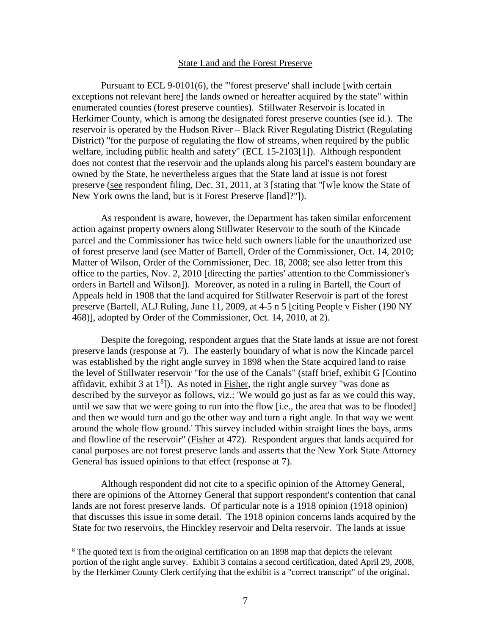### State Land and the Forest Preserve

Pursuant to ECL 9-0101(6), the "'forest preserve' shall include [with certain exceptions not relevant here] the lands owned or hereafter acquired by the state" within enumerated counties (forest preserve counties). Stillwater Reservoir is located in Herkimer County, which is among the designated forest preserve counties (see id.). The reservoir is operated by the Hudson River – Black River Regulating District (Regulating District) "for the purpose of regulating the flow of streams, when required by the public welfare, including public health and safety" (ECL 15-2103[1]). Although respondent does not contest that the reservoir and the uplands along his parcel's eastern boundary are owned by the State, he nevertheless argues that the State land at issue is not forest preserve (see respondent filing, Dec. 31, 2011, at 3 [stating that "[w]e know the State of New York owns the land, but is it Forest Preserve [land]?"]).

As respondent is aware, however, the Department has taken similar enforcement action against property owners along Stillwater Reservoir to the south of the Kincade parcel and the Commissioner has twice held such owners liable for the unauthorized use of forest preserve land (see Matter of Bartell, Order of the Commissioner, Oct. 14, 2010; Matter of Wilson, Order of the Commissioner, Dec. 18, 2008; see also letter from this office to the parties, Nov. 2, 2010 [directing the parties' attention to the Commissioner's orders in Bartell and Wilson]). Moreover, as noted in a ruling in Bartell, the Court of Appeals held in 1908 that the land acquired for Stillwater Reservoir is part of the forest preserve (Bartell, ALJ Ruling, June 11, 2009, at 4-5 n 5 [citing People v Fisher (190 NY 468)], adopted by Order of the Commissioner, Oct. 14, 2010, at 2).

Despite the foregoing, respondent argues that the State lands at issue are not forest preserve lands (response at 7). The easterly boundary of what is now the Kincade parcel was established by the right angle survey in 1898 when the State acquired land to raise the level of Stillwater reservoir "for the use of the Canals" (staff brief, exhibit G [Contino affidavit, exhibit 3 at  $1<sup>8</sup>$  $1<sup>8</sup>$  $1<sup>8</sup>$ ). As noted in **Fisher**, the right angle survey "was done as described by the surveyor as follows, viz.: 'We would go just as far as we could this way, until we saw that we were going to run into the flow [i.e., the area that was to be flooded] and then we would turn and go the other way and turn a right angle. In that way we went around the whole flow ground.' This survey included within straight lines the bays, arms and flowline of the reservoir" (Fisher at 472). Respondent argues that lands acquired for canal purposes are not forest preserve lands and asserts that the New York State Attorney General has issued opinions to that effect (response at 7).

Although respondent did not cite to a specific opinion of the Attorney General, there are opinions of the Attorney General that support respondent's contention that canal lands are not forest preserve lands. Of particular note is a 1918 opinion (1918 opinion) that discusses this issue in some detail. The 1918 opinion concerns lands acquired by the State for two reservoirs, the Hinckley reservoir and Delta reservoir. The lands at issue

<span id="page-16-0"></span><sup>&</sup>lt;sup>8</sup> The quoted text is from the original certification on an 1898 map that depicts the relevant portion of the right angle survey. Exhibit 3 contains a second certification, dated April 29, 2008, by the Herkimer County Clerk certifying that the exhibit is a "correct transcript" of the original.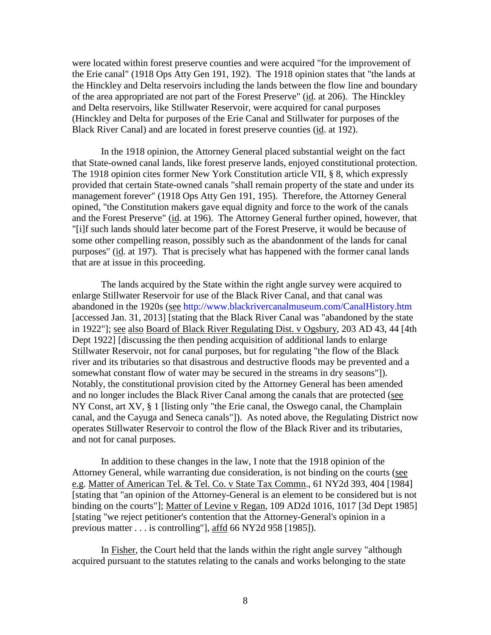were located within forest preserve counties and were acquired "for the improvement of the Erie canal" (1918 Ops Atty Gen 191, 192). The 1918 opinion states that "the lands at the Hinckley and Delta reservoirs including the lands between the flow line and boundary of the area appropriated are not part of the Forest Preserve" (id. at 206). The Hinckley and Delta reservoirs, like Stillwater Reservoir, were acquired for canal purposes (Hinckley and Delta for purposes of the Erie Canal and Stillwater for purposes of the Black River Canal) and are located in forest preserve counties (id. at 192).

In the 1918 opinion, the Attorney General placed substantial weight on the fact that State-owned canal lands, like forest preserve lands, enjoyed constitutional protection. The 1918 opinion cites former New York Constitution article VII, § 8, which expressly provided that certain State-owned canals "shall remain property of the state and under its management forever" (1918 Ops Atty Gen 191, 195). Therefore, the Attorney General opined, "the Constitution makers gave equal dignity and force to the work of the canals and the Forest Preserve" (id. at 196). The Attorney General further opined, however, that "[i]f such lands should later become part of the Forest Preserve, it would be because of some other compelling reason, possibly such as the abandonment of the lands for canal purposes" (id. at 197). That is precisely what has happened with the former canal lands that are at issue in this proceeding.

The lands acquired by the State within the right angle survey were acquired to enlarge Stillwater Reservoir for use of the Black River Canal, and that canal was abandoned in the 1920s (see <http://www.blackrivercanalmuseum.com/CanalHistory.htm> [accessed Jan. 31, 2013] [stating that the Black River Canal was "abandoned by the state in 1922"]; see also Board of Black River Regulating Dist. v Ogsbury, 203 AD 43, 44 [4th Dept 1922] [discussing the then pending acquisition of additional lands to enlarge Stillwater Reservoir, not for canal purposes, but for regulating "the flow of the Black river and its tributaries so that disastrous and destructive floods may be prevented and a somewhat constant flow of water may be secured in the streams in dry seasons"]). Notably, the constitutional provision cited by the Attorney General has been amended and no longer includes the Black River Canal among the canals that are protected (see NY Const, art XV, § 1 [listing only "the Erie canal, the Oswego canal, the Champlain canal, and the Cayuga and Seneca canals"]). As noted above, the Regulating District now operates Stillwater Reservoir to control the flow of the Black River and its tributaries, and not for canal purposes.

In addition to these changes in the law, I note that the 1918 opinion of the Attorney General, while warranting due consideration, is not binding on the courts (see e.g. Matter of American Tel. & Tel. Co. v State Tax Commn., 61 NY2d 393, 404 [1984] [stating that "an opinion of the Attorney-General is an element to be considered but is not binding on the courts"]; Matter of Levine v Regan, 109 AD2d 1016, 1017 [3d Dept 1985] [stating "we reject petitioner's contention that the Attorney-General's opinion in a previous matter . . . is controlling"], affd 66 NY2d 958 [1985]).

In Fisher, the Court held that the lands within the right angle survey "although acquired pursuant to the statutes relating to the canals and works belonging to the state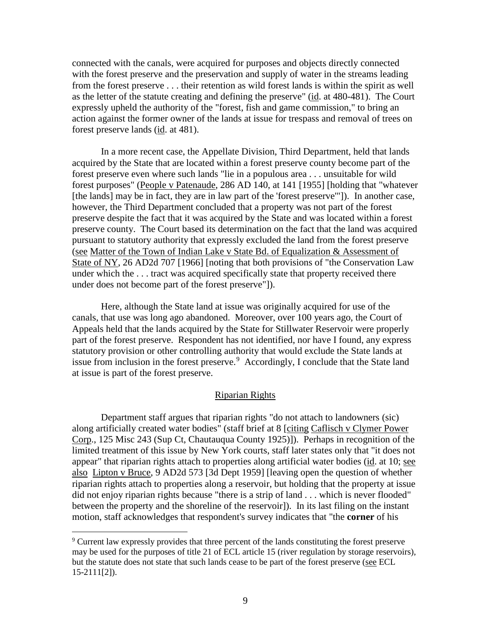connected with the canals, were acquired for purposes and objects directly connected with the forest preserve and the preservation and supply of water in the streams leading from the forest preserve . . . their retention as wild forest lands is within the spirit as well as the letter of the statute creating and defining the preserve" (id. at 480-481). The Court expressly upheld the authority of the "forest, fish and game commission," to bring an action against the former owner of the lands at issue for trespass and removal of trees on forest preserve lands (id. at 481).

In a more recent case, the Appellate Division, Third Department, held that lands acquired by the State that are located within a forest preserve county become part of the forest preserve even where such lands "lie in a populous area . . . unsuitable for wild forest purposes" (People v Patenaude, 286 AD 140, at 141 [1955] [holding that "whatever [the lands] may be in fact, they are in law part of the 'forest preserve''']). In another case, however, the Third Department concluded that a property was not part of the forest preserve despite the fact that it was acquired by the State and was located within a forest preserve county. The Court based its determination on the fact that the land was acquired pursuant to statutory authority that expressly excluded the land from the forest preserve (see Matter of the Town of Indian Lake v State Bd. of Equalization & Assessment of State of NY, 26 AD2d 707 [1966] [noting that both provisions of "the Conservation Law under which the . . . tract was acquired specifically state that property received there under does not become part of the forest preserve"]).

Here, although the State land at issue was originally acquired for use of the canals, that use was long ago abandoned. Moreover, over 100 years ago, the Court of Appeals held that the lands acquired by the State for Stillwater Reservoir were properly part of the forest preserve. Respondent has not identified, nor have I found, any express statutory provision or other controlling authority that would exclude the State lands at issue from inclusion in the forest preserve.<sup>[9](#page-18-0)</sup> Accordingly, I conclude that the State land at issue is part of the forest preserve.

# Riparian Rights

Department staff argues that riparian rights "do not attach to landowners (sic) along artificially created water bodies" (staff brief at 8 [citing Caflisch v Clymer Power Corp., 125 Misc 243 (Sup Ct, Chautauqua County 1925)]). Perhaps in recognition of the limited treatment of this issue by New York courts, staff later states only that "it does not appear" that riparian rights attach to properties along artificial water bodies (id. at 10; see also Lipton v Bruce, 9 AD2d 573 [3d Dept 1959] [leaving open the question of whether riparian rights attach to properties along a reservoir, but holding that the property at issue did not enjoy riparian rights because "there is a strip of land . . . which is never flooded" between the property and the shoreline of the reservoir]). In its last filing on the instant motion, staff acknowledges that respondent's survey indicates that "the **corner** of his

<span id="page-18-0"></span><sup>9</sup> Current law expressly provides that three percent of the lands constituting the forest preserve may be used for the purposes of title 21 of ECL article 15 (river regulation by storage reservoirs), but the statute does not state that such lands cease to be part of the forest preserve (see ECL 15-2111[2]).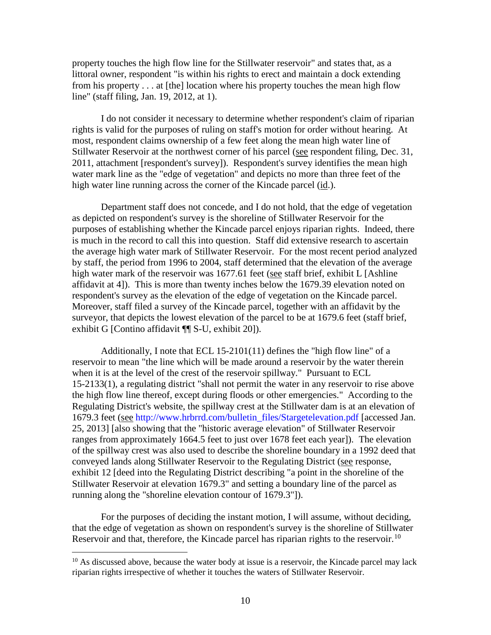property touches the high flow line for the Stillwater reservoir" and states that, as a littoral owner, respondent "is within his rights to erect and maintain a dock extending from his property . . . at [the] location where his property touches the mean high flow line" (staff filing, Jan. 19, 2012, at 1).

I do not consider it necessary to determine whether respondent's claim of riparian rights is valid for the purposes of ruling on staff's motion for order without hearing. At most, respondent claims ownership of a few feet along the mean high water line of Stillwater Reservoir at the northwest corner of his parcel (see respondent filing, Dec. 31, 2011, attachment [respondent's survey]). Respondent's survey identifies the mean high water mark line as the "edge of vegetation" and depicts no more than three feet of the high water line running across the corner of the Kincade parcel (id.).

Department staff does not concede, and I do not hold, that the edge of vegetation as depicted on respondent's survey is the shoreline of Stillwater Reservoir for the purposes of establishing whether the Kincade parcel enjoys riparian rights. Indeed, there is much in the record to call this into question. Staff did extensive research to ascertain the average high water mark of Stillwater Reservoir. For the most recent period analyzed by staff, the period from 1996 to 2004, staff determined that the elevation of the average high water mark of the reservoir was 1677.61 feet (see staff brief, exhibit L [Ashline affidavit at 4]). This is more than twenty inches below the 1679.39 elevation noted on respondent's survey as the elevation of the edge of vegetation on the Kincade parcel. Moreover, staff filed a survey of the Kincade parcel, together with an affidavit by the surveyor, that depicts the lowest elevation of the parcel to be at 1679.6 feet (staff brief, exhibit G [Contino affidavit ¶¶ S-U, exhibit 20]).

Additionally, I note that ECL 15-2101(11) defines the "high flow line" of a reservoir to mean "the line which will be made around a reservoir by the water therein when it is at the level of the crest of the reservoir spillway." Pursuant to ECL 15-2133(1), a regulating district "shall not permit the water in any reservoir to rise above the high flow line thereof, except during floods or other emergencies." According to the Regulating District's website, the spillway crest at the Stillwater dam is at an elevation of 1679.3 feet (see [http://www.hrbrrd.com/bulletin\\_files/Stargetelevation.pdf](http://www.hrbrrd.com/bulletin_files/Stargetelevation.pdf) [accessed Jan. 25, 2013] [also showing that the "historic average elevation" of Stillwater Reservoir ranges from approximately 1664.5 feet to just over 1678 feet each year]). The elevation of the spillway crest was also used to describe the shoreline boundary in a 1992 deed that conveyed lands along Stillwater Reservoir to the Regulating District (see response, exhibit 12 [deed into the Regulating District describing "a point in the shoreline of the Stillwater Reservoir at elevation 1679.3" and setting a boundary line of the parcel as running along the "shoreline elevation contour of 1679.3"]).

For the purposes of deciding the instant motion, I will assume, without deciding, that the edge of vegetation as shown on respondent's survey is the shoreline of Stillwater Reservoir and that, therefore, the Kincade parcel has riparian rights to the reservoir.<sup>[10](#page-19-0)</sup>

<span id="page-19-0"></span><sup>&</sup>lt;sup>10</sup> As discussed above, because the water body at issue is a reservoir, the Kincade parcel may lack riparian rights irrespective of whether it touches the waters of Stillwater Reservoir.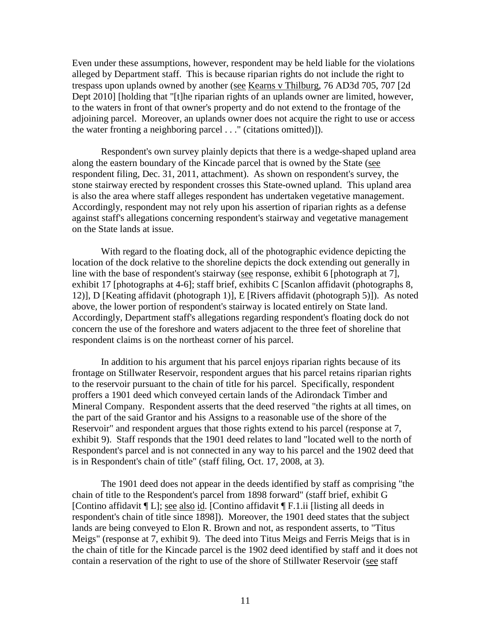Even under these assumptions, however, respondent may be held liable for the violations alleged by Department staff. This is because riparian rights do not include the right to trespass upon uplands owned by another (see Kearns v Thilburg, 76 AD3d 705, 707 [2d Dept 2010] [holding that "[t]he riparian rights of an uplands owner are limited, however, to the waters in front of that owner's property and do not extend to the frontage of the adjoining parcel. Moreover, an uplands owner does not acquire the right to use or access the water fronting a neighboring parcel . . ." (citations omitted)]).

Respondent's own survey plainly depicts that there is a wedge-shaped upland area along the eastern boundary of the Kincade parcel that is owned by the State (see respondent filing, Dec. 31, 2011, attachment). As shown on respondent's survey, the stone stairway erected by respondent crosses this State-owned upland. This upland area is also the area where staff alleges respondent has undertaken vegetative management. Accordingly, respondent may not rely upon his assertion of riparian rights as a defense against staff's allegations concerning respondent's stairway and vegetative management on the State lands at issue.

With regard to the floating dock, all of the photographic evidence depicting the location of the dock relative to the shoreline depicts the dock extending out generally in line with the base of respondent's stairway (see response, exhibit 6 [photograph at 7], exhibit 17 [photographs at 4-6]; staff brief, exhibits C [Scanlon affidavit (photographs 8, 12)], D [Keating affidavit (photograph 1)], E [Rivers affidavit (photograph 5)]). As noted above, the lower portion of respondent's stairway is located entirely on State land. Accordingly, Department staff's allegations regarding respondent's floating dock do not concern the use of the foreshore and waters adjacent to the three feet of shoreline that respondent claims is on the northeast corner of his parcel.

In addition to his argument that his parcel enjoys riparian rights because of its frontage on Stillwater Reservoir, respondent argues that his parcel retains riparian rights to the reservoir pursuant to the chain of title for his parcel. Specifically, respondent proffers a 1901 deed which conveyed certain lands of the Adirondack Timber and Mineral Company. Respondent asserts that the deed reserved "the rights at all times, on the part of the said Grantor and his Assigns to a reasonable use of the shore of the Reservoir" and respondent argues that those rights extend to his parcel (response at 7, exhibit 9). Staff responds that the 1901 deed relates to land "located well to the north of Respondent's parcel and is not connected in any way to his parcel and the 1902 deed that is in Respondent's chain of title" (staff filing, Oct. 17, 2008, at 3).

The 1901 deed does not appear in the deeds identified by staff as comprising "the chain of title to the Respondent's parcel from 1898 forward" (staff brief, exhibit G [Contino affidavit ¶ L]; see also id. [Contino affidavit ¶ F.1.ii [listing all deeds in respondent's chain of title since 1898]). Moreover, the 1901 deed states that the subject lands are being conveyed to Elon R. Brown and not, as respondent asserts, to "Titus Meigs" (response at 7, exhibit 9). The deed into Titus Meigs and Ferris Meigs that is in the chain of title for the Kincade parcel is the 1902 deed identified by staff and it does not contain a reservation of the right to use of the shore of Stillwater Reservoir (see staff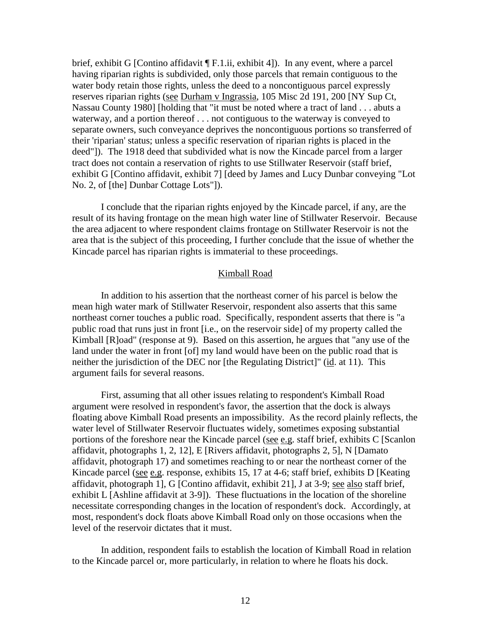brief, exhibit G [Contino affidavit [F.1.ii, exhibit 4]). In any event, where a parcel having riparian rights is subdivided, only those parcels that remain contiguous to the water body retain those rights, unless the deed to a noncontiguous parcel expressly reserves riparian rights (see Durham v Ingrassia, 105 Misc 2d 191, 200 [NY Sup Ct, Nassau County 1980] [holding that "it must be noted where a tract of land . . . abuts a waterway, and a portion thereof . . . not contiguous to the waterway is conveyed to separate owners, such conveyance deprives the noncontiguous portions so transferred of their 'riparian' status; unless a specific reservation of riparian rights is placed in the deed"]). The 1918 deed that subdivided what is now the Kincade parcel from a larger tract does not contain a reservation of rights to use Stillwater Reservoir (staff brief, exhibit G [Contino affidavit, exhibit 7] [deed by James and Lucy Dunbar conveying "Lot No. 2, of [the] Dunbar Cottage Lots"]).

I conclude that the riparian rights enjoyed by the Kincade parcel, if any, are the result of its having frontage on the mean high water line of Stillwater Reservoir. Because the area adjacent to where respondent claims frontage on Stillwater Reservoir is not the area that is the subject of this proceeding, I further conclude that the issue of whether the Kincade parcel has riparian rights is immaterial to these proceedings.

## Kimball Road

In addition to his assertion that the northeast corner of his parcel is below the mean high water mark of Stillwater Reservoir, respondent also asserts that this same northeast corner touches a public road. Specifically, respondent asserts that there is "a public road that runs just in front [i.e., on the reservoir side] of my property called the Kimball [R]oad" (response at 9). Based on this assertion, he argues that "any use of the land under the water in front [of] my land would have been on the public road that is neither the jurisdiction of the DEC nor [the Regulating District]" (id. at 11). This argument fails for several reasons.

First, assuming that all other issues relating to respondent's Kimball Road argument were resolved in respondent's favor, the assertion that the dock is always floating above Kimball Road presents an impossibility. As the record plainly reflects, the water level of Stillwater Reservoir fluctuates widely, sometimes exposing substantial portions of the foreshore near the Kincade parcel (see e.g. staff brief, exhibits C [Scanlon affidavit, photographs 1, 2, 12], E [Rivers affidavit, photographs 2, 5], N [Damato affidavit, photograph 17) and sometimes reaching to or near the northeast corner of the Kincade parcel (see e.g. response, exhibits 15, 17 at 4-6; staff brief, exhibits D [Keating affidavit, photograph 1], G [Contino affidavit, exhibit 21], J at 3-9; see also staff brief, exhibit L [Ashline affidavit at 3-9]). These fluctuations in the location of the shoreline necessitate corresponding changes in the location of respondent's dock. Accordingly, at most, respondent's dock floats above Kimball Road only on those occasions when the level of the reservoir dictates that it must.

In addition, respondent fails to establish the location of Kimball Road in relation to the Kincade parcel or, more particularly, in relation to where he floats his dock.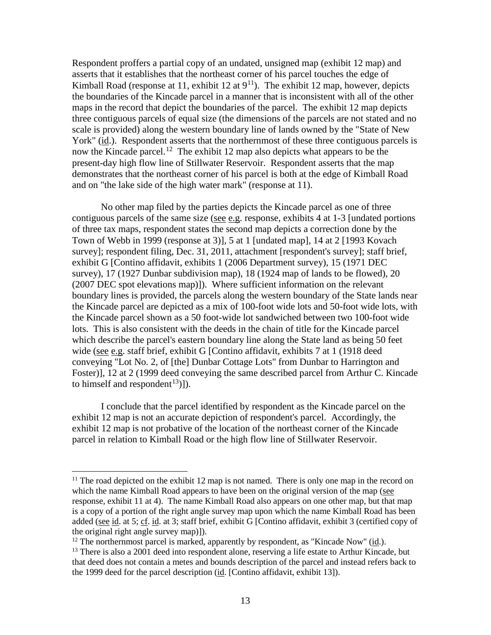Respondent proffers a partial copy of an undated, unsigned map (exhibit 12 map) and asserts that it establishes that the northeast corner of his parcel touches the edge of Kimball Road (response at 11, exhibit 12 at  $9<sup>11</sup>$ ). The exhibit 12 map, however, depicts the boundaries of the Kincade parcel in a manner that is inconsistent with all of the other maps in the record that depict the boundaries of the parcel. The exhibit 12 map depicts three contiguous parcels of equal size (the dimensions of the parcels are not stated and no scale is provided) along the western boundary line of lands owned by the "State of New York" (id.). Respondent asserts that the northernmost of these three contiguous parcels is now the Kincade parcel.<sup>[12](#page-22-1)</sup> The exhibit 12 map also depicts what appears to be the present-day high flow line of Stillwater Reservoir. Respondent asserts that the map demonstrates that the northeast corner of his parcel is both at the edge of Kimball Road and on "the lake side of the high water mark" (response at 11).

No other map filed by the parties depicts the Kincade parcel as one of three contiguous parcels of the same size (see e.g. response, exhibits 4 at 1-3 [undated portions of three tax maps, respondent states the second map depicts a correction done by the Town of Webb in 1999 (response at 3)], 5 at 1 [undated map], 14 at 2 [1993 Kovach survey]; respondent filing, Dec. 31, 2011, attachment [respondent's survey]; staff brief, exhibit G [Contino affidavit, exhibits 1 (2006 Department survey), 15 (1971 DEC survey), 17 (1927 Dunbar subdivision map), 18 (1924 map of lands to be flowed), 20 (2007 DEC spot elevations map)]). Where sufficient information on the relevant boundary lines is provided, the parcels along the western boundary of the State lands near the Kincade parcel are depicted as a mix of 100-foot wide lots and 50-foot wide lots, with the Kincade parcel shown as a 50 foot-wide lot sandwiched between two 100-foot wide lots. This is also consistent with the deeds in the chain of title for the Kincade parcel which describe the parcel's eastern boundary line along the State land as being 50 feet wide (see e.g. staff brief, exhibit G [Contino affidavit, exhibits 7 at 1 (1918 deed conveying "Lot No. 2, of [the] Dunbar Cottage Lots" from Dunbar to Harrington and Foster)], 12 at 2 (1999 deed conveying the same described parcel from Arthur C. Kincade to himself and respondent<sup>13</sup>)]).

I conclude that the parcel identified by respondent as the Kincade parcel on the exhibit 12 map is not an accurate depiction of respondent's parcel. Accordingly, the exhibit 12 map is not probative of the location of the northeast corner of the Kincade parcel in relation to Kimball Road or the high flow line of Stillwater Reservoir.

<span id="page-22-0"></span> $11$  The road depicted on the exhibit 12 map is not named. There is only one map in the record on which the name Kimball Road appears to have been on the original version of the map (see response, exhibit 11 at 4). The name Kimball Road also appears on one other map, but that map is a copy of a portion of the right angle survey map upon which the name Kimball Road has been added (see id. at 5; cf. id. at 3; staff brief, exhibit G [Contino affidavit, exhibit 3 (certified copy of the original right angle survey map)]).

<span id="page-22-1"></span> $12$  The northernmost parcel is marked, apparently by respondent, as "Kincade Now" (id.).

<span id="page-22-2"></span><sup>&</sup>lt;sup>13</sup> There is also a 2001 deed into respondent alone, reserving a life estate to Arthur Kincade, but that deed does not contain a metes and bounds description of the parcel and instead refers back to the 1999 deed for the parcel description (id. [Contino affidavit, exhibit 13]).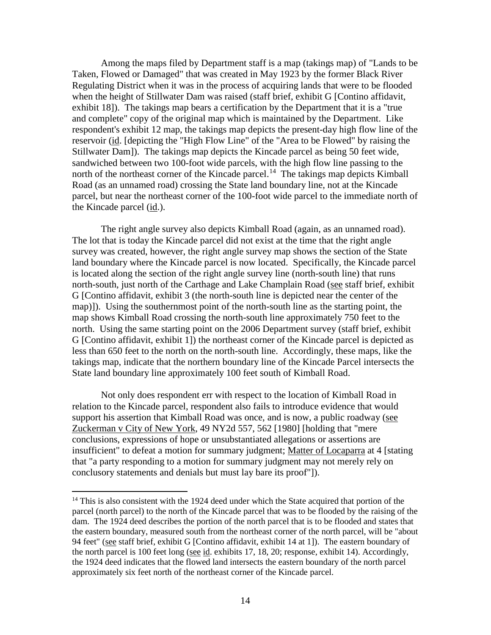Among the maps filed by Department staff is a map (takings map) of "Lands to be Taken, Flowed or Damaged" that was created in May 1923 by the former Black River Regulating District when it was in the process of acquiring lands that were to be flooded when the height of Stillwater Dam was raised (staff brief, exhibit G [Contino affidavit, exhibit 18]). The takings map bears a certification by the Department that it is a "true and complete" copy of the original map which is maintained by the Department. Like respondent's exhibit 12 map, the takings map depicts the present-day high flow line of the reservoir (id. [depicting the "High Flow Line" of the "Area to be Flowed" by raising the Stillwater Dam]). The takings map depicts the Kincade parcel as being 50 feet wide, sandwiched between two 100-foot wide parcels, with the high flow line passing to the north of the northeast corner of the Kincade parcel.<sup>[14](#page-23-0)</sup> The takings map depicts Kimball Road (as an unnamed road) crossing the State land boundary line, not at the Kincade parcel, but near the northeast corner of the 100-foot wide parcel to the immediate north of the Kincade parcel (id.).

The right angle survey also depicts Kimball Road (again, as an unnamed road). The lot that is today the Kincade parcel did not exist at the time that the right angle survey was created, however, the right angle survey map shows the section of the State land boundary where the Kincade parcel is now located. Specifically, the Kincade parcel is located along the section of the right angle survey line (north-south line) that runs north-south, just north of the Carthage and Lake Champlain Road (see staff brief, exhibit G [Contino affidavit, exhibit 3 (the north-south line is depicted near the center of the map)]). Using the southernmost point of the north-south line as the starting point, the map shows Kimball Road crossing the north-south line approximately 750 feet to the north. Using the same starting point on the 2006 Department survey (staff brief, exhibit G [Contino affidavit, exhibit 1]) the northeast corner of the Kincade parcel is depicted as less than 650 feet to the north on the north-south line. Accordingly, these maps, like the takings map, indicate that the northern boundary line of the Kincade Parcel intersects the State land boundary line approximately 100 feet south of Kimball Road.

Not only does respondent err with respect to the location of Kimball Road in relation to the Kincade parcel, respondent also fails to introduce evidence that would support his assertion that Kimball Road was once, and is now, a public roadway (see Zuckerman v City of New York, 49 NY2d 557, 562 [1980] [holding that "mere conclusions, expressions of hope or unsubstantiated allegations or assertions are insufficient" to defeat a motion for summary judgment; Matter of Locaparra at 4 [stating that "a party responding to a motion for summary judgment may not merely rely on conclusory statements and denials but must lay bare its proof"]).

<span id="page-23-0"></span> $14$  This is also consistent with the 1924 deed under which the State acquired that portion of the parcel (north parcel) to the north of the Kincade parcel that was to be flooded by the raising of the dam. The 1924 deed describes the portion of the north parcel that is to be flooded and states that the eastern boundary, measured south from the northeast corner of the north parcel, will be "about 94 feet" (see staff brief, exhibit G [Contino affidavit, exhibit 14 at 1]). The eastern boundary of the north parcel is 100 feet long (see id. exhibits 17, 18, 20; response, exhibit 14). Accordingly, the 1924 deed indicates that the flowed land intersects the eastern boundary of the north parcel approximately six feet north of the northeast corner of the Kincade parcel.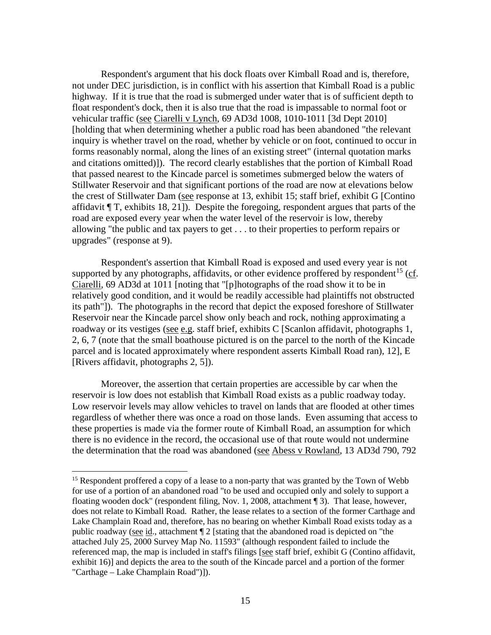Respondent's argument that his dock floats over Kimball Road and is, therefore, not under DEC jurisdiction, is in conflict with his assertion that Kimball Road is a public highway. If it is true that the road is submerged under water that is of sufficient depth to float respondent's dock, then it is also true that the road is impassable to normal foot or vehicular traffic (see Ciarelli v Lynch, 69 AD3d 1008, 1010-1011 [3d Dept 2010] [holding that when determining whether a public road has been abandoned "the relevant inquiry is whether travel on the road, whether by vehicle or on foot, continued to occur in forms reasonably normal, along the lines of an existing street" (internal quotation marks and citations omitted)]). The record clearly establishes that the portion of Kimball Road that passed nearest to the Kincade parcel is sometimes submerged below the waters of Stillwater Reservoir and that significant portions of the road are now at elevations below the crest of Stillwater Dam (see response at 13, exhibit 15; staff brief, exhibit G [Contino affidavit ¶ T, exhibits 18, 21]). Despite the foregoing, respondent argues that parts of the road are exposed every year when the water level of the reservoir is low, thereby allowing "the public and tax payers to get . . . to their properties to perform repairs or upgrades" (response at 9).

Respondent's assertion that Kimball Road is exposed and used every year is not supported by any photographs, affidavits, or other evidence proffered by respondent<sup>[15](#page-24-0)</sup> ( $cf.$ ). Ciarelli, 69 AD3d at 1011 [noting that "[p]hotographs of the road show it to be in relatively good condition, and it would be readily accessible had plaintiffs not obstructed its path"]). The photographs in the record that depict the exposed foreshore of Stillwater Reservoir near the Kincade parcel show only beach and rock, nothing approximating a roadway or its vestiges (see e.g. staff brief, exhibits C [Scanlon affidavit, photographs 1, 2, 6, 7 (note that the small boathouse pictured is on the parcel to the north of the Kincade parcel and is located approximately where respondent asserts Kimball Road ran), 12], E [Rivers affidavit, photographs 2, 5]).

Moreover, the assertion that certain properties are accessible by car when the reservoir is low does not establish that Kimball Road exists as a public roadway today. Low reservoir levels may allow vehicles to travel on lands that are flooded at other times regardless of whether there was once a road on those lands. Even assuming that access to these properties is made via the former route of Kimball Road, an assumption for which there is no evidence in the record, the occasional use of that route would not undermine the determination that the road was abandoned (see Abess v Rowland, 13 AD3d 790, 792

<span id="page-24-0"></span><sup>&</sup>lt;sup>15</sup> Respondent proffered a copy of a lease to a non-party that was granted by the Town of Webb for use of a portion of an abandoned road "to be used and occupied only and solely to support a floating wooden dock" (respondent filing, Nov. 1, 2008, attachment ¶ 3). That lease, however, does not relate to Kimball Road. Rather, the lease relates to a section of the former Carthage and Lake Champlain Road and, therefore, has no bearing on whether Kimball Road exists today as a public roadway (see id., attachment ¶ 2 [stating that the abandoned road is depicted on "the attached July 25, 2000 Survey Map No. 11593" (although respondent failed to include the referenced map, the map is included in staff's filings [see staff brief, exhibit G (Contino affidavit, exhibit 16)] and depicts the area to the south of the Kincade parcel and a portion of the former "Carthage – Lake Champlain Road")]).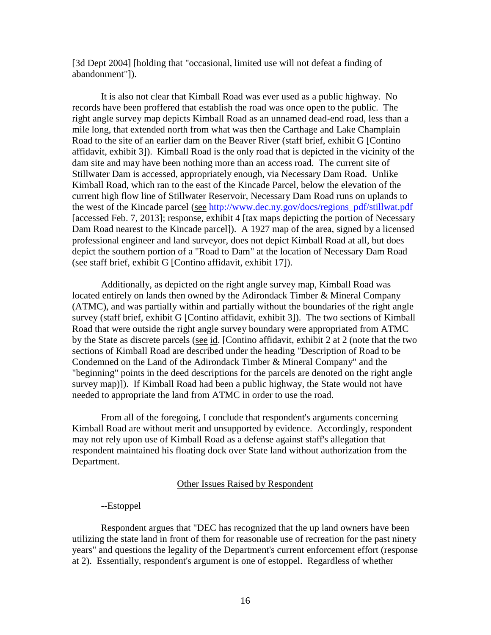[3d Dept 2004] [holding that "occasional, limited use will not defeat a finding of abandonment"]).

It is also not clear that Kimball Road was ever used as a public highway. No records have been proffered that establish the road was once open to the public. The right angle survey map depicts Kimball Road as an unnamed dead-end road, less than a mile long, that extended north from what was then the Carthage and Lake Champlain Road to the site of an earlier dam on the Beaver River (staff brief, exhibit G [Contino affidavit, exhibit 3]). Kimball Road is the only road that is depicted in the vicinity of the dam site and may have been nothing more than an access road. The current site of Stillwater Dam is accessed, appropriately enough, via Necessary Dam Road. Unlike Kimball Road, which ran to the east of the Kincade Parcel, below the elevation of the current high flow line of Stillwater Reservoir, Necessary Dam Road runs on uplands to the west of the Kincade parcel (see [http://www.dec.ny.gov/docs/regions\\_pdf/stillwat.pdf](http://www.dec.ny.gov/docs/regions_pdf/stillwat.pdf) [accessed Feb. 7, 2013]; response, exhibit 4 [tax maps depicting the portion of Necessary Dam Road nearest to the Kincade parcel]). A 1927 map of the area, signed by a licensed professional engineer and land surveyor, does not depict Kimball Road at all, but does depict the southern portion of a "Road to Dam" at the location of Necessary Dam Road (see staff brief, exhibit G [Contino affidavit, exhibit 17]).

Additionally, as depicted on the right angle survey map, Kimball Road was located entirely on lands then owned by the Adirondack Timber & Mineral Company (ATMC), and was partially within and partially without the boundaries of the right angle survey (staff brief, exhibit G [Contino affidavit, exhibit 3]). The two sections of Kimball Road that were outside the right angle survey boundary were appropriated from ATMC by the State as discrete parcels (see id. [Contino affidavit, exhibit 2 at 2 (note that the two sections of Kimball Road are described under the heading "Description of Road to be Condemned on the Land of the Adirondack Timber & Mineral Company" and the "beginning" points in the deed descriptions for the parcels are denoted on the right angle survey map)]). If Kimball Road had been a public highway, the State would not have needed to appropriate the land from ATMC in order to use the road.

From all of the foregoing, I conclude that respondent's arguments concerning Kimball Road are without merit and unsupported by evidence. Accordingly, respondent may not rely upon use of Kimball Road as a defense against staff's allegation that respondent maintained his floating dock over State land without authorization from the Department.

### Other Issues Raised by Respondent

#### --Estoppel

Respondent argues that "DEC has recognized that the up land owners have been utilizing the state land in front of them for reasonable use of recreation for the past ninety years" and questions the legality of the Department's current enforcement effort (response at 2). Essentially, respondent's argument is one of estoppel. Regardless of whether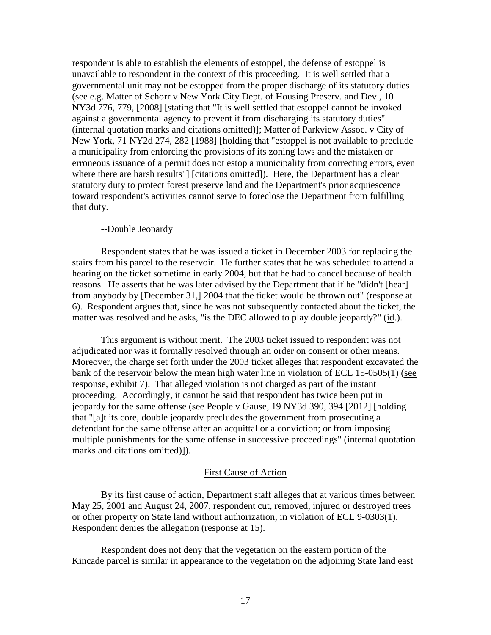respondent is able to establish the elements of estoppel, the defense of estoppel is unavailable to respondent in the context of this proceeding. It is well settled that a governmental unit may not be estopped from the proper discharge of its statutory duties (see e.g. Matter of Schorr v New York City Dept. of Housing Preserv. and Dev., 10 NY3d 776, 779, [2008] [stating that "It is well settled that estoppel cannot be invoked against a governmental agency to prevent it from discharging its statutory duties" (internal quotation marks and citations omitted)]; Matter of Parkview Assoc. v City of New York, 71 NY2d 274, 282 [1988] [holding that "estoppel is not available to preclude a municipality from enforcing the provisions of its zoning laws and the mistaken or erroneous issuance of a permit does not estop a municipality from correcting errors, even where there are harsh results"] [citations omitted]). Here, the Department has a clear statutory duty to protect forest preserve land and the Department's prior acquiescence toward respondent's activities cannot serve to foreclose the Department from fulfilling that duty.

### --Double Jeopardy

Respondent states that he was issued a ticket in December 2003 for replacing the stairs from his parcel to the reservoir. He further states that he was scheduled to attend a hearing on the ticket sometime in early 2004, but that he had to cancel because of health reasons. He asserts that he was later advised by the Department that if he "didn't [hear] from anybody by [December 31,] 2004 that the ticket would be thrown out" (response at 6). Respondent argues that, since he was not subsequently contacted about the ticket, the matter was resolved and he asks, "is the DEC allowed to play double jeopardy?" (id.).

This argument is without merit. The 2003 ticket issued to respondent was not adjudicated nor was it formally resolved through an order on consent or other means. Moreover, the charge set forth under the 2003 ticket alleges that respondent excavated the bank of the reservoir below the mean high water line in violation of ECL 15-0505(1) (see response, exhibit 7). That alleged violation is not charged as part of the instant proceeding. Accordingly, it cannot be said that respondent has twice been put in jeopardy for the same offense (see People v Gause, 19 NY3d 390, 394 [2012] [holding that "[a]t its core, double jeopardy precludes the government from prosecuting a defendant for the same offense after an acquittal or a conviction; or from imposing multiple punishments for the same offense in successive proceedings" (internal quotation marks and citations omitted)]).

## First Cause of Action

By its first cause of action, Department staff alleges that at various times between May 25, 2001 and August 24, 2007, respondent cut, removed, injured or destroyed trees or other property on State land without authorization, in violation of ECL 9-0303(1). Respondent denies the allegation (response at 15).

Respondent does not deny that the vegetation on the eastern portion of the Kincade parcel is similar in appearance to the vegetation on the adjoining State land east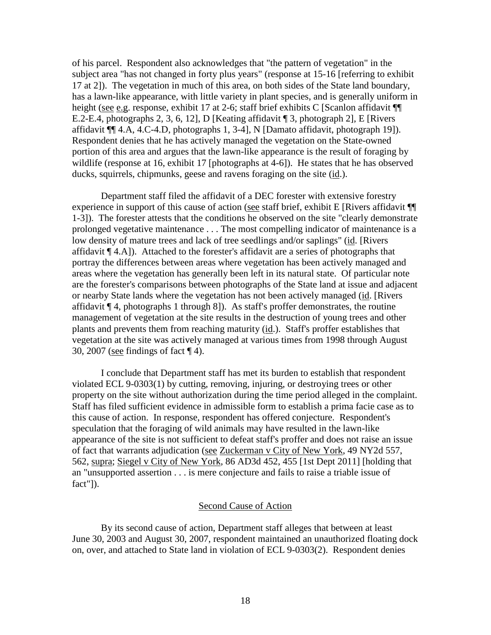of his parcel. Respondent also acknowledges that "the pattern of vegetation" in the subject area "has not changed in forty plus years" (response at 15-16 [referring to exhibit 17 at 2]). The vegetation in much of this area, on both sides of the State land boundary, has a lawn-like appearance, with little variety in plant species, and is generally uniform in height (see e.g. response, exhibit 17 at 2-6; staff brief exhibits C [Scanlon affidavit  $\P$ E.2-E.4, photographs 2, 3, 6, 12], D [Keating affidavit ¶ 3, photograph 2], E [Rivers affidavit ¶¶ 4.A, 4.C-4.D, photographs 1, 3-4], N [Damato affidavit, photograph 19]). Respondent denies that he has actively managed the vegetation on the State-owned portion of this area and argues that the lawn-like appearance is the result of foraging by wildlife (response at 16, exhibit 17 [photographs at 4-6]). He states that he has observed ducks, squirrels, chipmunks, geese and ravens foraging on the site (id.).

Department staff filed the affidavit of a DEC forester with extensive forestry experience in support of this cause of action (see staff brief, exhibit E [Rivers affidavit  $\P$ ] 1-3]). The forester attests that the conditions he observed on the site "clearly demonstrate prolonged vegetative maintenance . . . The most compelling indicator of maintenance is a low density of mature trees and lack of tree seedlings and/or saplings" (id. [Rivers affidavit ¶ 4.A]). Attached to the forester's affidavit are a series of photographs that portray the differences between areas where vegetation has been actively managed and areas where the vegetation has generally been left in its natural state. Of particular note are the forester's comparisons between photographs of the State land at issue and adjacent or nearby State lands where the vegetation has not been actively managed (id. [Rivers affidavit  $\P$  4, photographs 1 through 8]). As staff's proffer demonstrates, the routine management of vegetation at the site results in the destruction of young trees and other plants and prevents them from reaching maturity (id.). Staff's proffer establishes that vegetation at the site was actively managed at various times from 1998 through August 30, 2007 (see findings of fact ¶ 4).

I conclude that Department staff has met its burden to establish that respondent violated ECL 9-0303(1) by cutting, removing, injuring, or destroying trees or other property on the site without authorization during the time period alleged in the complaint. Staff has filed sufficient evidence in admissible form to establish a prima facie case as to this cause of action. In response, respondent has offered conjecture. Respondent's speculation that the foraging of wild animals may have resulted in the lawn-like appearance of the site is not sufficient to defeat staff's proffer and does not raise an issue of fact that warrants adjudication (see Zuckerman v City of New York, 49 NY2d 557, 562, supra; Siegel v City of New York, 86 AD3d 452, 455 [1st Dept 2011] [holding that an "unsupported assertion . . . is mere conjecture and fails to raise a triable issue of fact"]).

## Second Cause of Action

By its second cause of action, Department staff alleges that between at least June 30, 2003 and August 30, 2007, respondent maintained an unauthorized floating dock on, over, and attached to State land in violation of ECL 9-0303(2). Respondent denies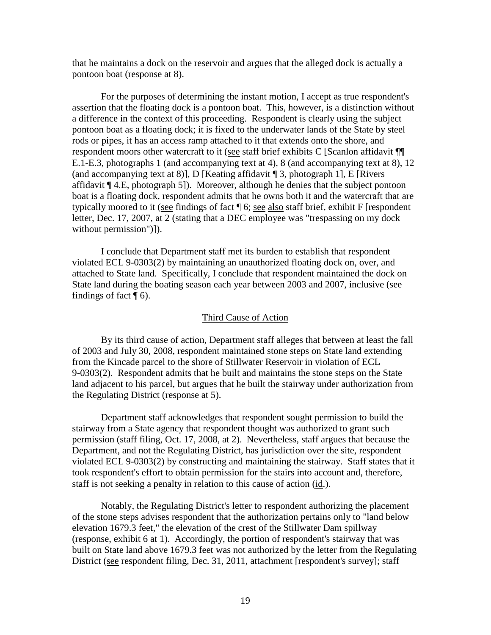that he maintains a dock on the reservoir and argues that the alleged dock is actually a pontoon boat (response at 8).

For the purposes of determining the instant motion, I accept as true respondent's assertion that the floating dock is a pontoon boat. This, however, is a distinction without a difference in the context of this proceeding. Respondent is clearly using the subject pontoon boat as a floating dock; it is fixed to the underwater lands of the State by steel rods or pipes, it has an access ramp attached to it that extends onto the shore, and respondent moors other watercraft to it (see staff brief exhibits C [Scanlon affidavit ¶¶ E.1-E.3, photographs 1 (and accompanying text at 4), 8 (and accompanying text at 8), 12 (and accompanying text at 8)], D [Keating affidavit  $\P$  3, photograph 1], E [Rivers] affidavit ¶ 4.E, photograph 5]). Moreover, although he denies that the subject pontoon boat is a floating dock, respondent admits that he owns both it and the watercraft that are typically moored to it (see findings of fact ¶ 6; see also staff brief, exhibit F [respondent letter, Dec. 17, 2007, at 2 (stating that a DEC employee was "trespassing on my dock without permission")]).

I conclude that Department staff met its burden to establish that respondent violated ECL 9-0303(2) by maintaining an unauthorized floating dock on, over, and attached to State land. Specifically, I conclude that respondent maintained the dock on State land during the boating season each year between 2003 and 2007, inclusive (see findings of fact  $\P$  6).

#### Third Cause of Action

By its third cause of action, Department staff alleges that between at least the fall of 2003 and July 30, 2008, respondent maintained stone steps on State land extending from the Kincade parcel to the shore of Stillwater Reservoir in violation of ECL 9-0303(2). Respondent admits that he built and maintains the stone steps on the State land adjacent to his parcel, but argues that he built the stairway under authorization from the Regulating District (response at 5).

Department staff acknowledges that respondent sought permission to build the stairway from a State agency that respondent thought was authorized to grant such permission (staff filing, Oct. 17, 2008, at 2). Nevertheless, staff argues that because the Department, and not the Regulating District, has jurisdiction over the site, respondent violated ECL 9-0303(2) by constructing and maintaining the stairway. Staff states that it took respondent's effort to obtain permission for the stairs into account and, therefore, staff is not seeking a penalty in relation to this cause of action (id.).

Notably, the Regulating District's letter to respondent authorizing the placement of the stone steps advises respondent that the authorization pertains only to "land below elevation 1679.3 feet," the elevation of the crest of the Stillwater Dam spillway (response, exhibit 6 at 1). Accordingly, the portion of respondent's stairway that was built on State land above 1679.3 feet was not authorized by the letter from the Regulating District (see respondent filing, Dec. 31, 2011, attachment [respondent's survey]; staff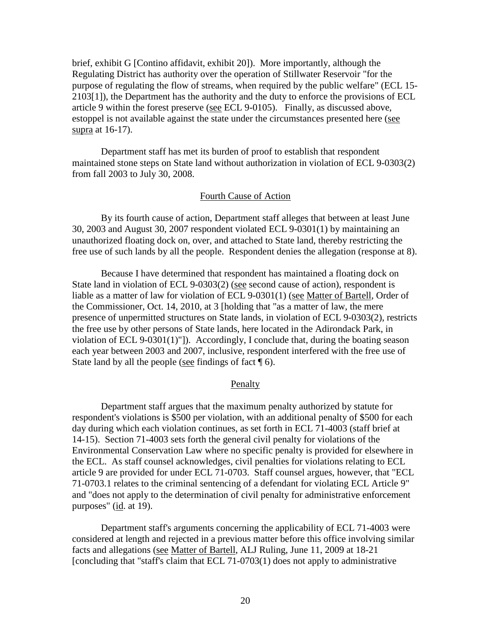brief, exhibit G [Contino affidavit, exhibit 20]). More importantly, although the Regulating District has authority over the operation of Stillwater Reservoir "for the purpose of regulating the flow of streams, when required by the public welfare" (ECL 15- 2103[1]), the Department has the authority and the duty to enforce the provisions of ECL article 9 within the forest preserve (see ECL 9-0105). Finally, as discussed above, estoppel is not available against the state under the circumstances presented here (see supra at 16-17).

Department staff has met its burden of proof to establish that respondent maintained stone steps on State land without authorization in violation of ECL 9-0303(2) from fall 2003 to July 30, 2008.

## Fourth Cause of Action

By its fourth cause of action, Department staff alleges that between at least June 30, 2003 and August 30, 2007 respondent violated ECL 9-0301(1) by maintaining an unauthorized floating dock on, over, and attached to State land, thereby restricting the free use of such lands by all the people. Respondent denies the allegation (response at 8).

Because I have determined that respondent has maintained a floating dock on State land in violation of ECL 9-0303(2) (see second cause of action), respondent is liable as a matter of law for violation of ECL 9-0301(1) (see Matter of Bartell, Order of the Commissioner, Oct. 14, 2010, at 3 [holding that "as a matter of law, the mere presence of unpermitted structures on State lands, in violation of ECL 9-0303(2), restricts the free use by other persons of State lands, here located in the Adirondack Park, in violation of ECL 9-0301(1)"]). Accordingly, I conclude that, during the boating season each year between 2003 and 2007, inclusive, respondent interfered with the free use of State land by all the people (see findings of fact  $\P$  6).

#### Penalty

Department staff argues that the maximum penalty authorized by statute for respondent's violations is \$500 per violation, with an additional penalty of \$500 for each day during which each violation continues, as set forth in ECL 71-4003 (staff brief at 14-15). Section 71-4003 sets forth the general civil penalty for violations of the Environmental Conservation Law where no specific penalty is provided for elsewhere in the ECL. As staff counsel acknowledges, civil penalties for violations relating to ECL article 9 are provided for under ECL 71-0703. Staff counsel argues, however, that "ECL 71-0703.1 relates to the criminal sentencing of a defendant for violating ECL Article 9" and "does not apply to the determination of civil penalty for administrative enforcement purposes"  $(id. at 19)$ .

Department staff's arguments concerning the applicability of ECL 71-4003 were considered at length and rejected in a previous matter before this office involving similar facts and allegations (see Matter of Bartell, ALJ Ruling, June 11, 2009 at 18-21 [concluding that "staff's claim that ECL 71-0703(1) does not apply to administrative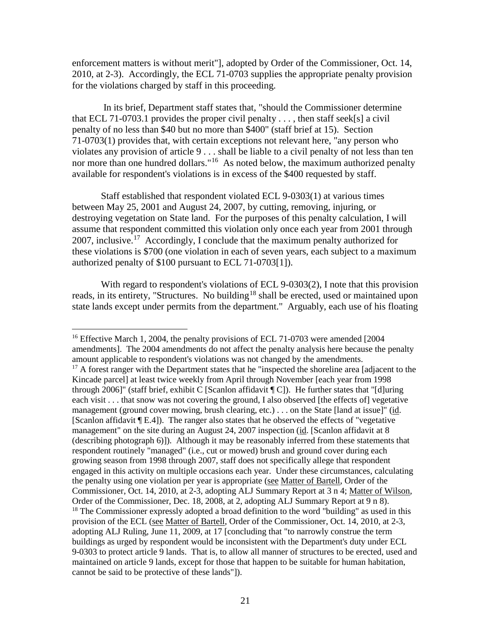enforcement matters is without merit"], adopted by Order of the Commissioner, Oct. 14, 2010, at 2-3). Accordingly, the ECL 71-0703 supplies the appropriate penalty provision for the violations charged by staff in this proceeding.

In its brief, Department staff states that, "should the Commissioner determine that ECL 71-0703.1 provides the proper civil penalty  $\dots$ , then staff seek[s] a civil penalty of no less than \$40 but no more than \$400" (staff brief at 15). Section 71-0703(1) provides that, with certain exceptions not relevant here, "any person who violates any provision of article 9 . . . shall be liable to a civil penalty of not less than ten nor more than one hundred dollars."<sup>[16](#page-30-0)</sup> As noted below, the maximum authorized penalty available for respondent's violations is in excess of the \$400 requested by staff.

Staff established that respondent violated ECL 9-0303(1) at various times between May 25, 2001 and August 24, 2007, by cutting, removing, injuring, or destroying vegetation on State land. For the purposes of this penalty calculation, I will assume that respondent committed this violation only once each year from 2001 through 2007, inclusive.<sup>[17](#page-30-1)</sup> Accordingly, I conclude that the maximum penalty authorized for these violations is \$700 (one violation in each of seven years, each subject to a maximum authorized penalty of \$100 pursuant to ECL 71-0703[1]).

With regard to respondent's violations of ECL 9-0303(2), I note that this provision reads, in its entirety, "Structures. No building<sup>[18](#page-30-2)</sup> shall be erected, used or maintained upon state lands except under permits from the department." Arguably, each use of his floating

<span id="page-30-2"></span><span id="page-30-1"></span><span id="page-30-0"></span><sup>&</sup>lt;sup>16</sup> Effective March 1, 2004, the penalty provisions of ECL 71-0703 were amended [2004] amendments]. The 2004 amendments do not affect the penalty analysis here because the penalty amount applicable to respondent's violations was not changed by the amendments. <sup>17</sup> A forest ranger with the Department states that he "inspected the shoreline area [adjacent to the Kincade parcel] at least twice weekly from April through November [each year from 1998 through 2006]" (staff brief, exhibit C [Scanlon affidavit  $\lll$  C]). He further states that "[d]uring each visit . . . that snow was not covering the ground, I also observed [the effects of] vegetative management (ground cover mowing, brush clearing, etc.) . . . on the State [land at issue]" (id. [Scanlon affidavit ¶ E.4]). The ranger also states that he observed the effects of "vegetative management" on the site during an August 24, 2007 inspection (id. [Scanlon affidavit at 8 (describing photograph 6)]). Although it may be reasonably inferred from these statements that respondent routinely "managed" (i.e., cut or mowed) brush and ground cover during each growing season from 1998 through 2007, staff does not specifically allege that respondent engaged in this activity on multiple occasions each year. Under these circumstances, calculating the penalty using one violation per year is appropriate (see Matter of Bartell, Order of the Commissioner, Oct. 14, 2010, at 2-3, adopting ALJ Summary Report at 3 n 4; Matter of Wilson, Order of the Commissioner, Dec. 18, 2008, at 2, adopting ALJ Summary Report at 9 n 8). <sup>18</sup> The Commissioner expressly adopted a broad definition to the word "building" as used in this provision of the ECL (see Matter of Bartell, Order of the Commissioner, Oct. 14, 2010, at 2-3, adopting ALJ Ruling, June 11, 2009, at 17 [concluding that "to narrowly construe the term buildings as urged by respondent would be inconsistent with the Department's duty under ECL 9-0303 to protect article 9 lands. That is, to allow all manner of structures to be erected, used and maintained on article 9 lands, except for those that happen to be suitable for human habitation, cannot be said to be protective of these lands"]).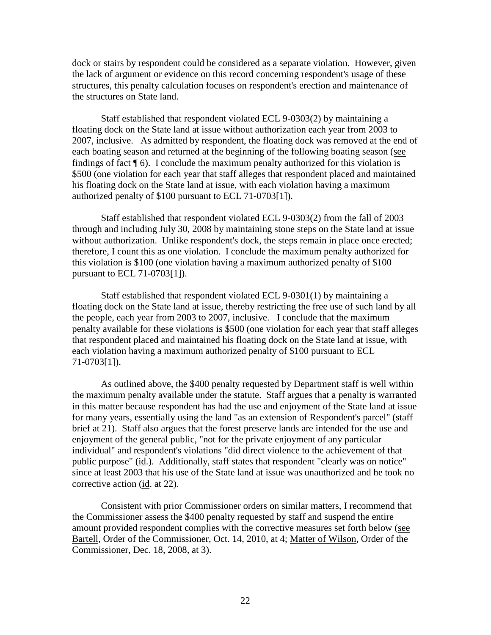dock or stairs by respondent could be considered as a separate violation. However, given the lack of argument or evidence on this record concerning respondent's usage of these structures, this penalty calculation focuses on respondent's erection and maintenance of the structures on State land.

Staff established that respondent violated ECL 9-0303(2) by maintaining a floating dock on the State land at issue without authorization each year from 2003 to 2007, inclusive. As admitted by respondent, the floating dock was removed at the end of each boating season and returned at the beginning of the following boating season (see findings of fact  $\P$  6). I conclude the maximum penalty authorized for this violation is \$500 (one violation for each year that staff alleges that respondent placed and maintained his floating dock on the State land at issue, with each violation having a maximum authorized penalty of \$100 pursuant to ECL 71-0703[1]).

Staff established that respondent violated ECL 9-0303(2) from the fall of 2003 through and including July 30, 2008 by maintaining stone steps on the State land at issue without authorization. Unlike respondent's dock, the steps remain in place once erected; therefore, I count this as one violation. I conclude the maximum penalty authorized for this violation is \$100 (one violation having a maximum authorized penalty of \$100 pursuant to ECL 71-0703[1]).

Staff established that respondent violated ECL 9-0301(1) by maintaining a floating dock on the State land at issue, thereby restricting the free use of such land by all the people, each year from 2003 to 2007, inclusive. I conclude that the maximum penalty available for these violations is \$500 (one violation for each year that staff alleges that respondent placed and maintained his floating dock on the State land at issue, with each violation having a maximum authorized penalty of \$100 pursuant to ECL 71-0703[1]).

As outlined above, the \$400 penalty requested by Department staff is well within the maximum penalty available under the statute. Staff argues that a penalty is warranted in this matter because respondent has had the use and enjoyment of the State land at issue for many years, essentially using the land "as an extension of Respondent's parcel" (staff brief at 21). Staff also argues that the forest preserve lands are intended for the use and enjoyment of the general public, "not for the private enjoyment of any particular individual" and respondent's violations "did direct violence to the achievement of that public purpose" (id.). Additionally, staff states that respondent "clearly was on notice" since at least 2003 that his use of the State land at issue was unauthorized and he took no corrective action (id. at 22).

Consistent with prior Commissioner orders on similar matters, I recommend that the Commissioner assess the \$400 penalty requested by staff and suspend the entire amount provided respondent complies with the corrective measures set forth below (see Bartell, Order of the Commissioner, Oct. 14, 2010, at 4; Matter of Wilson, Order of the Commissioner, Dec. 18, 2008, at 3).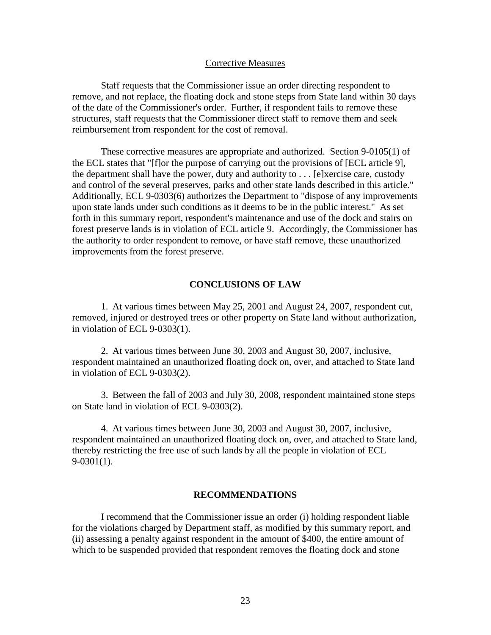#### Corrective Measures

Staff requests that the Commissioner issue an order directing respondent to remove, and not replace, the floating dock and stone steps from State land within 30 days of the date of the Commissioner's order. Further, if respondent fails to remove these structures, staff requests that the Commissioner direct staff to remove them and seek reimbursement from respondent for the cost of removal.

These corrective measures are appropriate and authorized. Section 9-0105(1) of the ECL states that "[f]or the purpose of carrying out the provisions of [ECL article 9], the department shall have the power, duty and authority to . . . [e]xercise care, custody and control of the several preserves, parks and other state lands described in this article." Additionally, ECL 9-0303(6) authorizes the Department to "dispose of any improvements upon state lands under such conditions as it deems to be in the public interest." As set forth in this summary report, respondent's maintenance and use of the dock and stairs on forest preserve lands is in violation of ECL article 9. Accordingly, the Commissioner has the authority to order respondent to remove, or have staff remove, these unauthorized improvements from the forest preserve.

### **CONCLUSIONS OF LAW**

1. At various times between May 25, 2001 and August 24, 2007, respondent cut, removed, injured or destroyed trees or other property on State land without authorization, in violation of ECL 9-0303(1).

2. At various times between June 30, 2003 and August 30, 2007, inclusive, respondent maintained an unauthorized floating dock on, over, and attached to State land in violation of ECL 9-0303(2).

3. Between the fall of 2003 and July 30, 2008, respondent maintained stone steps on State land in violation of ECL 9-0303(2).

4. At various times between June 30, 2003 and August 30, 2007, inclusive, respondent maintained an unauthorized floating dock on, over, and attached to State land, thereby restricting the free use of such lands by all the people in violation of ECL 9-0301(1).

## **RECOMMENDATIONS**

I recommend that the Commissioner issue an order (i) holding respondent liable for the violations charged by Department staff, as modified by this summary report, and (ii) assessing a penalty against respondent in the amount of \$400, the entire amount of which to be suspended provided that respondent removes the floating dock and stone